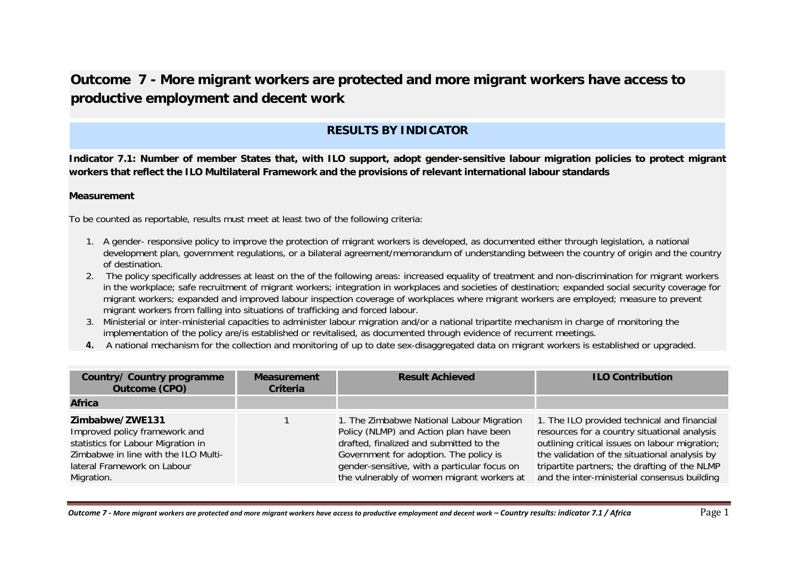# **Outcome 7 - More migrant workers are protected and more migrant workers have access to productive employment and decent work**

# **RESULTS BY INDICATOR**

**Indicator 7.1: Number of member States that, with ILO support, adopt gender-sensitive labour migration policies to protect migrant workers that reflect the ILO Multilateral Framework and the provisions of relevant international labour standards** 

#### **Measurement**

To be counted as reportable, results must meet at least two of the following criteria:

- 1. A gender- responsive policy to improve the protection of migrant workers is developed, as documented either through legislation, a national development plan, government regulations, or a bilateral agreement/memorandum of understanding between the country of origin and the country of destination.
- 2. The policy specifically addresses at least on the of the following areas: increased equality of treatment and non-discrimination for migrant workers in the workplace; safe recruitment of migrant workers; integration in workplaces and societies of destination; expanded social security coverage for migrant workers; expanded and improved labour inspection coverage of workplaces where migrant workers are employed; measure to prevent migrant workers from falling into situations of trafficking and forced labour.
- 3. Ministerial or inter-ministerial capacities to administer labour migration and/or a national tripartite mechanism in charge of monitoring the implementation of the policy are/is established or revitalised, as documented through evidence of recurrent meetings.
- **4.** A national mechanism for the collection and monitoring of up to date sex-disaggregated data on migrant workers is established or upgraded.

| Country/ Country programme<br><b>Outcome (CPO)</b>                                                                                                                          | <b>Measurement</b><br><b>Criteria</b> | <b>Result Achieved</b>                                                                                                                                                                                                                                                  | <b>ILO Contribution</b>                                                                                                                                                                                                                                                                         |
|-----------------------------------------------------------------------------------------------------------------------------------------------------------------------------|---------------------------------------|-------------------------------------------------------------------------------------------------------------------------------------------------------------------------------------------------------------------------------------------------------------------------|-------------------------------------------------------------------------------------------------------------------------------------------------------------------------------------------------------------------------------------------------------------------------------------------------|
| <b>Africa</b>                                                                                                                                                               |                                       |                                                                                                                                                                                                                                                                         |                                                                                                                                                                                                                                                                                                 |
| Zimbabwe/ZWE131<br>Improved policy framework and<br>statistics for Labour Migration in<br>Zimbabwe in line with the ILO Multi-<br>lateral Framework on Labour<br>Migration. |                                       | 1. The Zimbabwe National Labour Migration<br>Policy (NLMP) and Action plan have been<br>drafted, finalized and submitted to the<br>Government for adoption. The policy is<br>gender-sensitive, with a particular focus on<br>the vulnerably of women migrant workers at | 1. The ILO provided technical and financial<br>resources for a country situational analysis<br>outlining critical issues on labour migration;<br>the validation of the situational analysis by<br>tripartite partners; the drafting of the NLMP<br>and the inter-ministerial consensus building |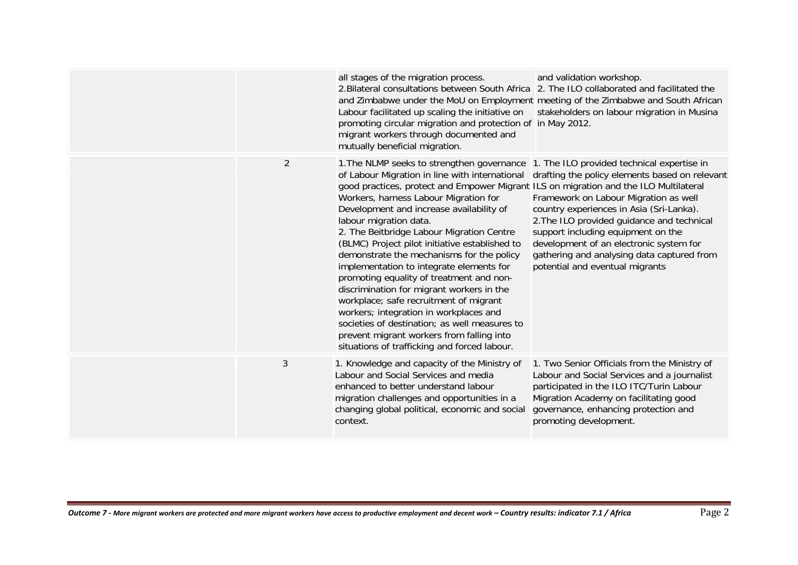|                | all stages of the migration process.<br>2. Bilateral consultations between South Africa 2. The ILO collaborated and facilitated the<br>and Zimbabwe under the MoU on Employment meeting of the Zimbabwe and South African<br>Labour facilitated up scaling the initiative on<br>promoting circular migration and protection of in May 2012.<br>migrant workers through documented and<br>mutually beneficial migration.                                                                                                                                                                                                                                                                                                                                                                                                                                            | and validation workshop.<br>stakeholders on labour migration in Musina                                                                                                                                                                                                                                                                              |
|----------------|--------------------------------------------------------------------------------------------------------------------------------------------------------------------------------------------------------------------------------------------------------------------------------------------------------------------------------------------------------------------------------------------------------------------------------------------------------------------------------------------------------------------------------------------------------------------------------------------------------------------------------------------------------------------------------------------------------------------------------------------------------------------------------------------------------------------------------------------------------------------|-----------------------------------------------------------------------------------------------------------------------------------------------------------------------------------------------------------------------------------------------------------------------------------------------------------------------------------------------------|
| $\overline{2}$ | 1. The NLMP seeks to strengthen governance 1. The ILO provided technical expertise in<br>of Labour Migration in line with international<br>good practices, protect and Empower Migrant ILS on migration and the ILO Multilateral<br>Workers, harness Labour Migration for<br>Development and increase availability of<br>labour migration data.<br>2. The Beitbridge Labour Migration Centre<br>(BLMC) Project pilot initiative established to<br>demonstrate the mechanisms for the policy<br>implementation to integrate elements for<br>promoting equality of treatment and non-<br>discrimination for migrant workers in the<br>workplace; safe recruitment of migrant<br>workers; integration in workplaces and<br>societies of destination; as well measures to<br>prevent migrant workers from falling into<br>situations of trafficking and forced labour. | drafting the policy elements based on relevant<br>Framework on Labour Migration as well<br>country experiences in Asia (Sri-Lanka).<br>2. The ILO provided guidance and technical<br>support including equipment on the<br>development of an electronic system for<br>gathering and analysing data captured from<br>potential and eventual migrants |
| $\mathfrak{Z}$ | 1. Knowledge and capacity of the Ministry of<br>Labour and Social Services and media<br>enhanced to better understand labour<br>migration challenges and opportunities in a<br>changing global political, economic and social<br>context.                                                                                                                                                                                                                                                                                                                                                                                                                                                                                                                                                                                                                          | 1. Two Senior Officials from the Ministry of<br>Labour and Social Services and a journalist<br>participated in the ILO ITC/Turin Labour<br>Migration Academy on facilitating good<br>governance, enhancing protection and<br>promoting development.                                                                                                 |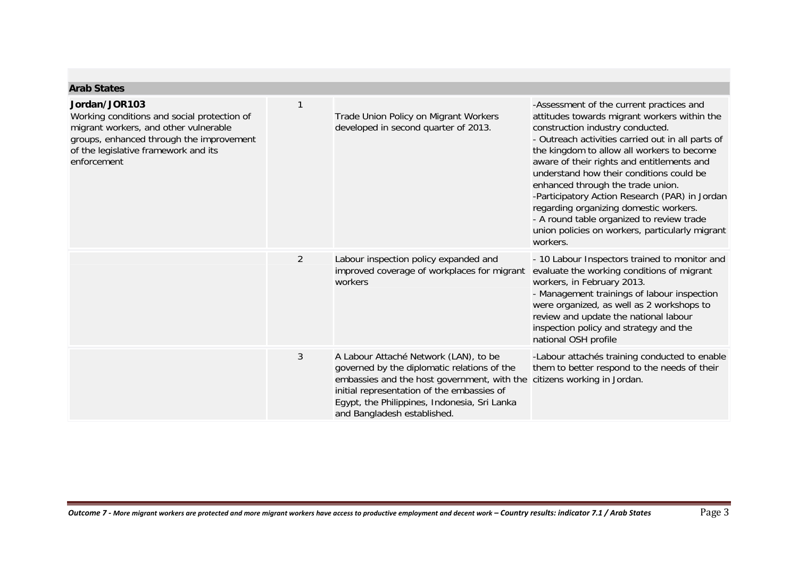| <b>Arab States</b>                                                                                                                                                                                       |                |                                                                                                                                                                                                                                                                  |                                                                                                                                                                                                                                                                                                                                                                                                                                                                                                                                                                        |
|----------------------------------------------------------------------------------------------------------------------------------------------------------------------------------------------------------|----------------|------------------------------------------------------------------------------------------------------------------------------------------------------------------------------------------------------------------------------------------------------------------|------------------------------------------------------------------------------------------------------------------------------------------------------------------------------------------------------------------------------------------------------------------------------------------------------------------------------------------------------------------------------------------------------------------------------------------------------------------------------------------------------------------------------------------------------------------------|
| Jordan/JOR103<br>Working conditions and social protection of<br>migrant workers, and other vulnerable<br>groups, enhanced through the improvement<br>of the legislative framework and its<br>enforcement | 1              | Trade Union Policy on Migrant Workers<br>developed in second quarter of 2013.                                                                                                                                                                                    | -Assessment of the current practices and<br>attitudes towards migrant workers within the<br>construction industry conducted.<br>- Outreach activities carried out in all parts of<br>the kingdom to allow all workers to become<br>aware of their rights and entitlements and<br>understand how their conditions could be<br>enhanced through the trade union.<br>-Participatory Action Research (PAR) in Jordan<br>regarding organizing domestic workers.<br>- A round table organized to review trade<br>union policies on workers, particularly migrant<br>workers. |
|                                                                                                                                                                                                          | $\overline{2}$ | Labour inspection policy expanded and<br>improved coverage of workplaces for migrant<br>workers                                                                                                                                                                  | - 10 Labour Inspectors trained to monitor and<br>evaluate the working conditions of migrant<br>workers, in February 2013.<br>- Management trainings of labour inspection<br>were organized, as well as 2 workshops to<br>review and update the national labour<br>inspection policy and strategy and the<br>national OSH profile                                                                                                                                                                                                                                       |
|                                                                                                                                                                                                          | 3              | A Labour Attaché Network (LAN), to be<br>governed by the diplomatic relations of the<br>embassies and the host government, with the<br>initial representation of the embassies of<br>Egypt, the Philippines, Indonesia, Sri Lanka<br>and Bangladesh established. | -Labour attachés training conducted to enable<br>them to better respond to the needs of their<br>citizens working in Jordan.                                                                                                                                                                                                                                                                                                                                                                                                                                           |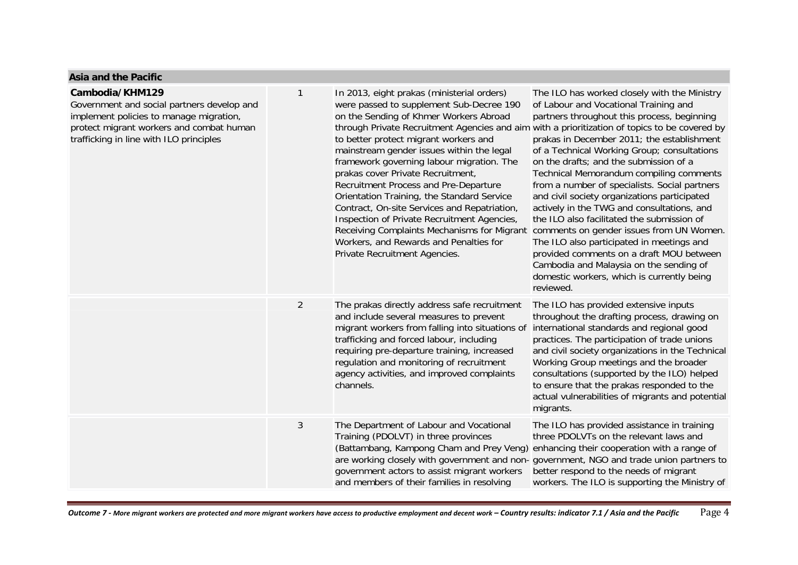#### **Asia and the Pacific**

| Cambodia/KHM129<br>Government and social partners develop and<br>implement policies to manage migration,<br>protect migrant workers and combat human<br>trafficking in line with ILO principles | $\mathbf{1}$   | In 2013, eight prakas (ministerial orders)<br>were passed to supplement Sub-Decree 190<br>on the Sending of Khmer Workers Abroad<br>through Private Recruitment Agencies and aim with a prioritization of topics to be covered by<br>to better protect migrant workers and<br>mainstream gender issues within the legal<br>framework governing labour migration. The<br>prakas cover Private Recruitment,<br>Recruitment Process and Pre-Departure<br>Orientation Training, the Standard Service<br>Contract, On-site Services and Repatriation,<br>Inspection of Private Recruitment Agencies,<br>Receiving Complaints Mechanisms for Migrant<br>Workers, and Rewards and Penalties for<br>Private Recruitment Agencies. | The ILO has worked closely with the Ministry<br>of Labour and Vocational Training and<br>partners throughout this process, beginning<br>prakas in December 2011; the establishment<br>of a Technical Working Group; consultations<br>on the drafts; and the submission of a<br>Technical Memorandum compiling comments<br>from a number of specialists. Social partners<br>and civil society organizations participated<br>actively in the TWG and consultations, and<br>the ILO also facilitated the submission of<br>comments on gender issues from UN Women.<br>The ILO also participated in meetings and<br>provided comments on a draft MOU between<br>Cambodia and Malaysia on the sending of<br>domestic workers, which is currently being<br>reviewed. |
|-------------------------------------------------------------------------------------------------------------------------------------------------------------------------------------------------|----------------|---------------------------------------------------------------------------------------------------------------------------------------------------------------------------------------------------------------------------------------------------------------------------------------------------------------------------------------------------------------------------------------------------------------------------------------------------------------------------------------------------------------------------------------------------------------------------------------------------------------------------------------------------------------------------------------------------------------------------|----------------------------------------------------------------------------------------------------------------------------------------------------------------------------------------------------------------------------------------------------------------------------------------------------------------------------------------------------------------------------------------------------------------------------------------------------------------------------------------------------------------------------------------------------------------------------------------------------------------------------------------------------------------------------------------------------------------------------------------------------------------|
|                                                                                                                                                                                                 | $\overline{2}$ | The prakas directly address safe recruitment<br>and include several measures to prevent<br>migrant workers from falling into situations of<br>trafficking and forced labour, including<br>requiring pre-departure training, increased<br>regulation and monitoring of recruitment<br>agency activities, and improved complaints<br>channels.                                                                                                                                                                                                                                                                                                                                                                              | The ILO has provided extensive inputs<br>throughout the drafting process, drawing on<br>international standards and regional good<br>practices. The participation of trade unions<br>and civil society organizations in the Technical<br>Working Group meetings and the broader<br>consultations (supported by the ILO) helped<br>to ensure that the prakas responded to the<br>actual vulnerabilities of migrants and potential<br>migrants.                                                                                                                                                                                                                                                                                                                  |
|                                                                                                                                                                                                 | $\mathfrak{Z}$ | The Department of Labour and Vocational<br>Training (PDOLVT) in three provinces<br>(Battambang, Kampong Cham and Prey Veng)<br>government actors to assist migrant workers<br>and members of their families in resolving                                                                                                                                                                                                                                                                                                                                                                                                                                                                                                  | The ILO has provided assistance in training<br>three PDOLVTs on the relevant laws and<br>enhancing their cooperation with a range of<br>are working closely with government and non-government, NGO and trade union partners to<br>better respond to the needs of migrant<br>workers. The ILO is supporting the Ministry of                                                                                                                                                                                                                                                                                                                                                                                                                                    |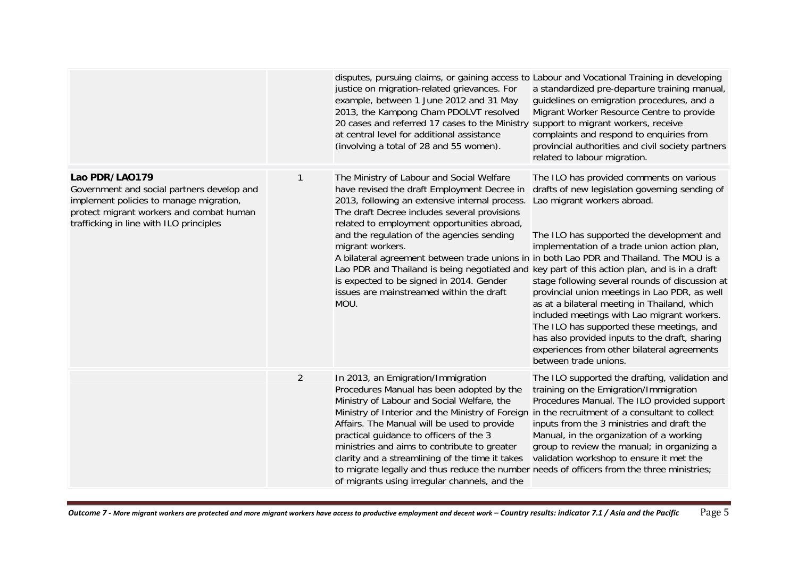|                                                                                                                                                                                                |                | disputes, pursuing claims, or gaining access to Labour and Vocational Training in developing<br>justice on migration-related grievances. For<br>example, between 1 June 2012 and 31 May<br>2013, the Kampong Cham PDOLVT resolved<br>20 cases and referred 17 cases to the Ministry<br>at central level for additional assistance<br>(involving a total of 28 and 55 women).                                                                                                                                                                                                                            | a standardized pre-departure training manual,<br>guidelines on emigration procedures, and a<br>Migrant Worker Resource Centre to provide<br>support to migrant workers, receive<br>complaints and respond to enquiries from<br>provincial authorities and civil society partners<br>related to labour migration.                                                                                                                                                                                                                                                                                 |
|------------------------------------------------------------------------------------------------------------------------------------------------------------------------------------------------|----------------|---------------------------------------------------------------------------------------------------------------------------------------------------------------------------------------------------------------------------------------------------------------------------------------------------------------------------------------------------------------------------------------------------------------------------------------------------------------------------------------------------------------------------------------------------------------------------------------------------------|--------------------------------------------------------------------------------------------------------------------------------------------------------------------------------------------------------------------------------------------------------------------------------------------------------------------------------------------------------------------------------------------------------------------------------------------------------------------------------------------------------------------------------------------------------------------------------------------------|
| Lao PDR/LA0179<br>Government and social partners develop and<br>implement policies to manage migration,<br>protect migrant workers and combat human<br>trafficking in line with ILO principles |                | The Ministry of Labour and Social Welfare<br>have revised the draft Employment Decree in<br>2013, following an extensive internal process.<br>The draft Decree includes several provisions<br>related to employment opportunities abroad,<br>and the regulation of the agencies sending<br>migrant workers.<br>A bilateral agreement between trade unions in in both Lao PDR and Thailand. The MOU is a<br>Lao PDR and Thailand is being negotiated and key part of this action plan, and is in a draft<br>is expected to be signed in 2014. Gender<br>issues are mainstreamed within the draft<br>MOU. | The ILO has provided comments on various<br>drafts of new legislation governing sending of<br>Lao migrant workers abroad.<br>The ILO has supported the development and<br>implementation of a trade union action plan,<br>stage following several rounds of discussion at<br>provincial union meetings in Lao PDR, as well<br>as at a bilateral meeting in Thailand, which<br>included meetings with Lao migrant workers.<br>The ILO has supported these meetings, and<br>has also provided inputs to the draft, sharing<br>experiences from other bilateral agreements<br>between trade unions. |
|                                                                                                                                                                                                | $\overline{2}$ | In 2013, an Emigration/Immigration<br>Procedures Manual has been adopted by the<br>Ministry of Labour and Social Welfare, the<br>Ministry of Interior and the Ministry of Foreign<br>Affairs. The Manual will be used to provide<br>practical guidance to officers of the 3<br>ministries and aims to contribute to greater<br>clarity and a streamlining of the time it takes<br>to migrate legally and thus reduce the number needs of officers from the three ministries;<br>of migrants using irregular channels, and the                                                                           | The ILO supported the drafting, validation and<br>training on the Emigration/Immigration<br>Procedures Manual. The ILO provided support<br>in the recruitment of a consultant to collect<br>inputs from the 3 ministries and draft the<br>Manual, in the organization of a working<br>group to review the manual; in organizing a<br>validation workshop to ensure it met the                                                                                                                                                                                                                    |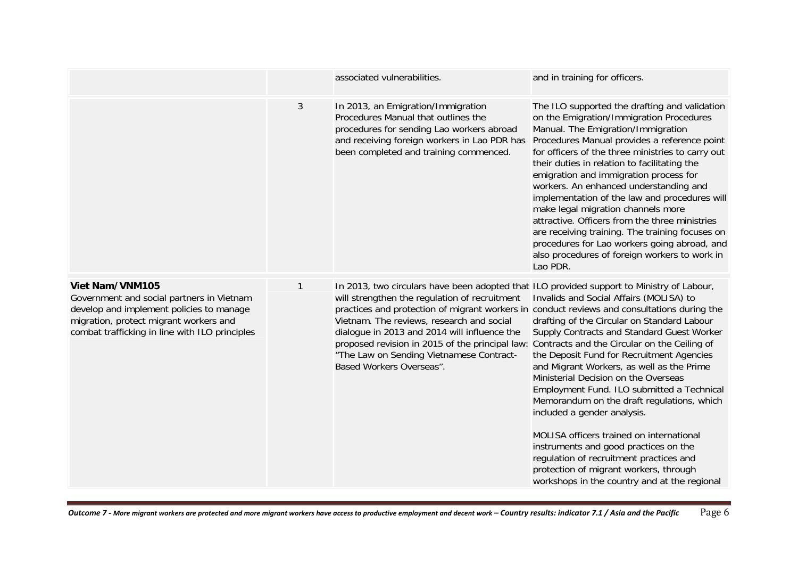|                                                                                                                                                                                                      |              | associated vulnerabilities.                                                                                                                                                                                                                                                                                                                                                                                                                                       | and in training for officers.                                                                                                                                                                                                                                                                                                                                                                                                                                                                                                                                                                                                                                                     |
|------------------------------------------------------------------------------------------------------------------------------------------------------------------------------------------------------|--------------|-------------------------------------------------------------------------------------------------------------------------------------------------------------------------------------------------------------------------------------------------------------------------------------------------------------------------------------------------------------------------------------------------------------------------------------------------------------------|-----------------------------------------------------------------------------------------------------------------------------------------------------------------------------------------------------------------------------------------------------------------------------------------------------------------------------------------------------------------------------------------------------------------------------------------------------------------------------------------------------------------------------------------------------------------------------------------------------------------------------------------------------------------------------------|
|                                                                                                                                                                                                      | 3            | In 2013, an Emigration/Immigration<br>Procedures Manual that outlines the<br>procedures for sending Lao workers abroad<br>and receiving foreign workers in Lao PDR has<br>been completed and training commenced.                                                                                                                                                                                                                                                  | The ILO supported the drafting and validation<br>on the Emigration/Immigration Procedures<br>Manual. The Emigration/Immigration<br>Procedures Manual provides a reference point<br>for officers of the three ministries to carry out<br>their duties in relation to facilitating the<br>emigration and immigration process for<br>workers. An enhanced understanding and<br>implementation of the law and procedures will<br>make legal migration channels more<br>attractive. Officers from the three ministries<br>are receiving training. The training focuses on<br>procedures for Lao workers going abroad, and<br>also procedures of foreign workers to work in<br>Lao PDR. |
| Viet Nam/VNM105<br>Government and social partners in Vietnam<br>develop and implement policies to manage<br>migration, protect migrant workers and<br>combat trafficking in line with ILO principles | $\mathbf{1}$ | In 2013, two circulars have been adopted that ILO provided support to Ministry of Labour,<br>will strengthen the regulation of recruitment<br>practices and protection of migrant workers in conduct reviews and consultations during the<br>Vietnam. The reviews, research and social<br>dialogue in 2013 and 2014 will influence the<br>proposed revision in 2015 of the principal law:<br>"The Law on Sending Vietnamese Contract-<br>Based Workers Overseas". | Invalids and Social Affairs (MOLISA) to<br>drafting of the Circular on Standard Labour<br>Supply Contracts and Standard Guest Worker<br>Contracts and the Circular on the Ceiling of<br>the Deposit Fund for Recruitment Agencies<br>and Migrant Workers, as well as the Prime<br>Ministerial Decision on the Overseas<br>Employment Fund. ILO submitted a Technical<br>Memorandum on the draft regulations, which<br>included a gender analysis.<br>MOLISA officers trained on international<br>instruments and good practices on the<br>regulation of recruitment practices and<br>protection of migrant workers, through<br>workshops in the country and at the regional       |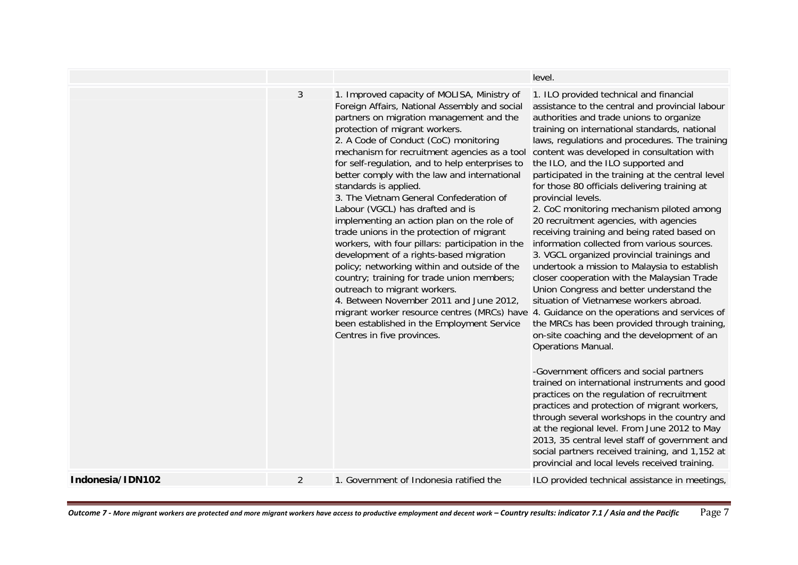|                  |                |                                                                                                                                                                                                                                                                                                                                                                                                                                                                                                                                                                                                                                                                                                                                                                                                                                                                                                                               | level.                                                                                                                                                                                                                                                                                                                                                                                                                                                                                                                                                                                                                                                                                                                                                                                                                                                                                                                                                                                                                                                                                                                                                                                                                                                                                                                                                                                                                                                                                                                                                       |
|------------------|----------------|-------------------------------------------------------------------------------------------------------------------------------------------------------------------------------------------------------------------------------------------------------------------------------------------------------------------------------------------------------------------------------------------------------------------------------------------------------------------------------------------------------------------------------------------------------------------------------------------------------------------------------------------------------------------------------------------------------------------------------------------------------------------------------------------------------------------------------------------------------------------------------------------------------------------------------|--------------------------------------------------------------------------------------------------------------------------------------------------------------------------------------------------------------------------------------------------------------------------------------------------------------------------------------------------------------------------------------------------------------------------------------------------------------------------------------------------------------------------------------------------------------------------------------------------------------------------------------------------------------------------------------------------------------------------------------------------------------------------------------------------------------------------------------------------------------------------------------------------------------------------------------------------------------------------------------------------------------------------------------------------------------------------------------------------------------------------------------------------------------------------------------------------------------------------------------------------------------------------------------------------------------------------------------------------------------------------------------------------------------------------------------------------------------------------------------------------------------------------------------------------------------|
|                  | 3              | 1. Improved capacity of MOLISA, Ministry of<br>Foreign Affairs, National Assembly and social<br>partners on migration management and the<br>protection of migrant workers.<br>2. A Code of Conduct (CoC) monitoring<br>mechanism for recruitment agencies as a tool<br>for self-regulation, and to help enterprises to<br>better comply with the law and international<br>standards is applied.<br>3. The Vietnam General Confederation of<br>Labour (VGCL) has drafted and is<br>implementing an action plan on the role of<br>trade unions in the protection of migrant<br>workers, with four pillars: participation in the<br>development of a rights-based migration<br>policy; networking within and outside of the<br>country; training for trade union members;<br>outreach to migrant workers.<br>4. Between November 2011 and June 2012,<br>been established in the Employment Service<br>Centres in five provinces. | 1. ILO provided technical and financial<br>assistance to the central and provincial labour<br>authorities and trade unions to organize<br>training on international standards, national<br>laws, regulations and procedures. The training<br>content was developed in consultation with<br>the ILO, and the ILO supported and<br>participated in the training at the central level<br>for those 80 officials delivering training at<br>provincial levels.<br>2. CoC monitoring mechanism piloted among<br>20 recruitment agencies, with agencies<br>receiving training and being rated based on<br>information collected from various sources.<br>3. VGCL organized provincial trainings and<br>undertook a mission to Malaysia to establish<br>closer cooperation with the Malaysian Trade<br>Union Congress and better understand the<br>situation of Vietnamese workers abroad.<br>migrant worker resource centres (MRCs) have 4. Guidance on the operations and services of<br>the MRCs has been provided through training,<br>on-site coaching and the development of an<br><b>Operations Manual.</b><br>-Government officers and social partners<br>trained on international instruments and good<br>practices on the regulation of recruitment<br>practices and protection of migrant workers,<br>through several workshops in the country and<br>at the regional level. From June 2012 to May<br>2013, 35 central level staff of government and<br>social partners received training, and 1,152 at<br>provincial and local levels received training. |
| Indonesia/IDN102 | $\overline{2}$ | 1. Government of Indonesia ratified the                                                                                                                                                                                                                                                                                                                                                                                                                                                                                                                                                                                                                                                                                                                                                                                                                                                                                       | ILO provided technical assistance in meetings,                                                                                                                                                                                                                                                                                                                                                                                                                                                                                                                                                                                                                                                                                                                                                                                                                                                                                                                                                                                                                                                                                                                                                                                                                                                                                                                                                                                                                                                                                                               |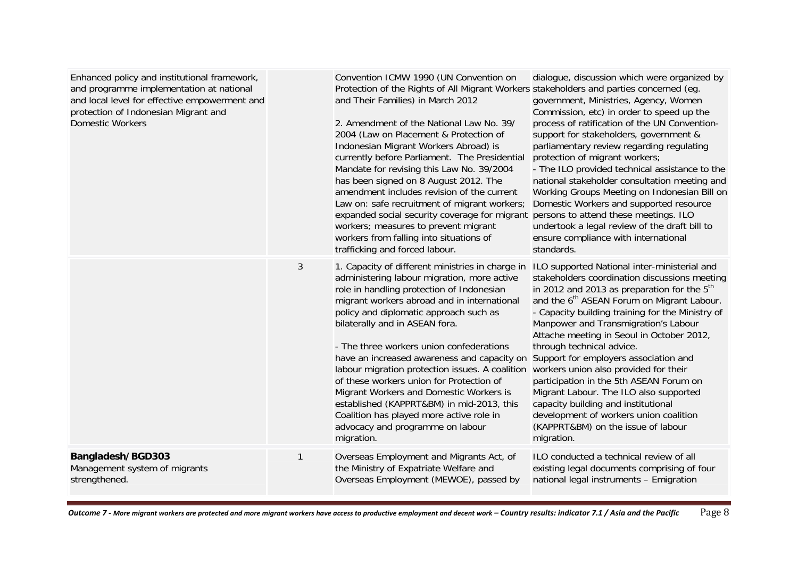| Enhanced policy and institutional framework,<br>and programme implementation at national<br>and local level for effective empowerment and<br>protection of Indonesian Migrant and<br><b>Domestic Workers</b> |                | Convention ICMW 1990 (UN Convention on<br>Protection of the Rights of All Migrant Workers stakeholders and parties concerned (eg.<br>and Their Families) in March 2012<br>2. Amendment of the National Law No. 39/<br>2004 (Law on Placement & Protection of<br>Indonesian Migrant Workers Abroad) is<br>currently before Parliament. The Presidential<br>Mandate for revising this Law No. 39/2004<br>has been signed on 8 August 2012. The<br>amendment includes revision of the current<br>Law on: safe recruitment of migrant workers;<br>expanded social security coverage for migrant<br>workers; measures to prevent migrant<br>workers from falling into situations of<br>trafficking and forced labour. | dialogue, discussion which were organized by<br>government, Ministries, Agency, Women<br>Commission, etc) in order to speed up the<br>process of ratification of the UN Convention-<br>support for stakeholders, government &<br>parliamentary review regarding regulating<br>protection of migrant workers;<br>- The ILO provided technical assistance to the<br>national stakeholder consultation meeting and<br>Working Groups Meeting on Indonesian Bill on<br>Domestic Workers and supported resource<br>persons to attend these meetings. ILO<br>undertook a legal review of the draft bill to<br>ensure compliance with international<br>standards.                                 |
|--------------------------------------------------------------------------------------------------------------------------------------------------------------------------------------------------------------|----------------|------------------------------------------------------------------------------------------------------------------------------------------------------------------------------------------------------------------------------------------------------------------------------------------------------------------------------------------------------------------------------------------------------------------------------------------------------------------------------------------------------------------------------------------------------------------------------------------------------------------------------------------------------------------------------------------------------------------|--------------------------------------------------------------------------------------------------------------------------------------------------------------------------------------------------------------------------------------------------------------------------------------------------------------------------------------------------------------------------------------------------------------------------------------------------------------------------------------------------------------------------------------------------------------------------------------------------------------------------------------------------------------------------------------------|
|                                                                                                                                                                                                              | $\mathfrak{Z}$ | 1. Capacity of different ministries in charge in<br>administering labour migration, more active<br>role in handling protection of Indonesian<br>migrant workers abroad and in international<br>policy and diplomatic approach such as<br>bilaterally and in ASEAN fora.<br>- The three workers union confederations<br>have an increased awareness and capacity on<br>labour migration protection issues. A coalition<br>of these workers union for Protection of<br>Migrant Workers and Domestic Workers is<br>established (KAPPRT&BM) in mid-2013, this<br>Coalition has played more active role in<br>advocacy and programme on labour<br>migration.                                                          | ILO supported National inter-ministerial and<br>stakeholders coordination discussions meeting<br>in 2012 and 2013 as preparation for the $5th$<br>and the 6 <sup>th</sup> ASEAN Forum on Migrant Labour.<br>- Capacity building training for the Ministry of<br>Manpower and Transmigration's Labour<br>Attache meeting in Seoul in October 2012,<br>through technical advice.<br>Support for employers association and<br>workers union also provided for their<br>participation in the 5th ASEAN Forum on<br>Migrant Labour. The ILO also supported<br>capacity building and institutional<br>development of workers union coalition<br>(KAPPRT&BM) on the issue of labour<br>migration. |
| Bangladesh/BGD303<br>Management system of migrants<br>strengthened.                                                                                                                                          | $\mathbf{1}$   | Overseas Employment and Migrants Act, of<br>the Ministry of Expatriate Welfare and<br>Overseas Employment (MEWOE), passed by                                                                                                                                                                                                                                                                                                                                                                                                                                                                                                                                                                                     | ILO conducted a technical review of all<br>existing legal documents comprising of four<br>national legal instruments - Emigration                                                                                                                                                                                                                                                                                                                                                                                                                                                                                                                                                          |

Outcome 7 - More migrant workers are protected and more migrant workers have access to productive employment and decent work — Country results: indicator 7.1 / Asia and the Pacific  $\rm Pagg \, 8$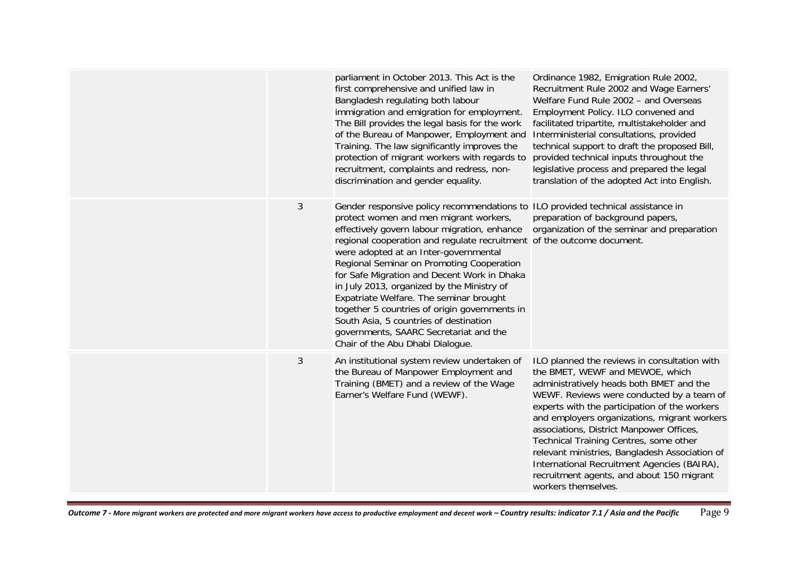|   | parliament in October 2013. This Act is the<br>first comprehensive and unified law in<br>Bangladesh regulating both labour<br>immigration and emigration for employment.<br>The Bill provides the legal basis for the work<br>of the Bureau of Manpower, Employment and<br>Training. The law significantly improves the<br>protection of migrant workers with regards to<br>recruitment, complaints and redress, non-<br>discrimination and gender equality.                                                                                                                                                                                                | Ordinance 1982, Emigration Rule 2002,<br>Recruitment Rule 2002 and Wage Earners'<br>Welfare Fund Rule 2002 - and Overseas<br>Employment Policy. ILO convened and<br>facilitated tripartite, multistakeholder and<br>Interministerial consultations, provided<br>technical support to draft the proposed Bill,<br>provided technical inputs throughout the<br>legislative process and prepared the legal<br>translation of the adopted Act into English.                                                                              |
|---|-------------------------------------------------------------------------------------------------------------------------------------------------------------------------------------------------------------------------------------------------------------------------------------------------------------------------------------------------------------------------------------------------------------------------------------------------------------------------------------------------------------------------------------------------------------------------------------------------------------------------------------------------------------|--------------------------------------------------------------------------------------------------------------------------------------------------------------------------------------------------------------------------------------------------------------------------------------------------------------------------------------------------------------------------------------------------------------------------------------------------------------------------------------------------------------------------------------|
| 3 | Gender responsive policy recommendations to ILO provided technical assistance in<br>protect women and men migrant workers,<br>effectively govern labour migration, enhance<br>regional cooperation and regulate recruitment of the outcome document.<br>were adopted at an Inter-governmental<br>Regional Seminar on Promoting Cooperation<br>for Safe Migration and Decent Work in Dhaka<br>in July 2013, organized by the Ministry of<br>Expatriate Welfare. The seminar brought<br>together 5 countries of origin governments in<br>South Asia, 5 countries of destination<br>governments, SAARC Secretariat and the<br>Chair of the Abu Dhabi Dialogue. | preparation of background papers,<br>organization of the seminar and preparation                                                                                                                                                                                                                                                                                                                                                                                                                                                     |
| 3 | An institutional system review undertaken of<br>the Bureau of Manpower Employment and<br>Training (BMET) and a review of the Wage<br>Earner's Welfare Fund (WEWF).                                                                                                                                                                                                                                                                                                                                                                                                                                                                                          | ILO planned the reviews in consultation with<br>the BMET, WEWF and MEWOE, which<br>administratively heads both BMET and the<br>WEWF. Reviews were conducted by a team of<br>experts with the participation of the workers<br>and employers organizations, migrant workers<br>associations, District Manpower Offices,<br>Technical Training Centres, some other<br>relevant ministries, Bangladesh Association of<br>International Recruitment Agencies (BAIRA),<br>recruitment agents, and about 150 migrant<br>workers themselves. |

Outcome 7 - More migrant workers are protected and more migrant workers have access to productive employment and decent work — Country results: indicator 7.1 / Asia and the Pacific  $\rm Page~9$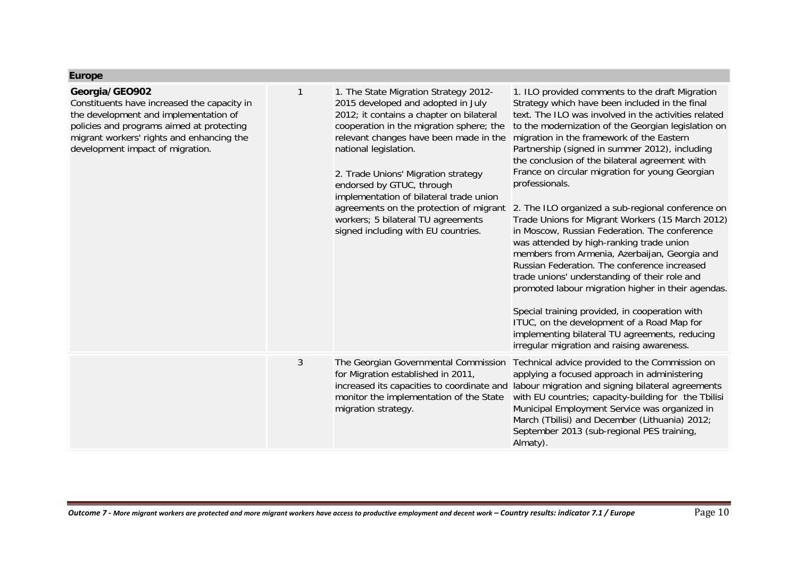|  | <b>Lurop</b> |  |
|--|--------------|--|

| Georgia/GEO902<br>Constituents have increased the capacity in<br>the development and implementation of<br>policies and programs aimed at protecting<br>migrant workers' rights and enhancing the<br>development impact of migration. |   | 1. The State Migration Strategy 2012-<br>2015 developed and adopted in July<br>2012; it contains a chapter on bilateral<br>cooperation in the migration sphere; the<br>relevant changes have been made in the<br>national legislation.<br>2. Trade Unions' Migration strategy<br>endorsed by GTUC, through<br>implementation of bilateral trade union<br>agreements on the protection of migrant<br>workers; 5 bilateral TU agreements<br>signed including with EU countries. | 1. ILO provided comments to the draft Migration<br>Strategy which have been included in the final<br>text. The ILO was involved in the activities related<br>to the modernization of the Georgian legislation on<br>migration in the framework of the Eastern<br>Partnership (signed in summer 2012), including<br>the conclusion of the bilateral agreement with<br>France on circular migration for young Georgian<br>professionals.<br>2. The ILO organized a sub-regional conference on<br>Trade Unions for Migrant Workers (15 March 2012)<br>in Moscow, Russian Federation. The conference<br>was attended by high-ranking trade union<br>members from Armenia, Azerbaijan, Georgia and<br>Russian Federation. The conference increased<br>trade unions' understanding of their role and<br>promoted labour migration higher in their agendas.<br>Special training provided, in cooperation with<br>ITUC, on the development of a Road Map for<br>implementing bilateral TU agreements, reducing<br>irregular migration and raising awareness. |
|--------------------------------------------------------------------------------------------------------------------------------------------------------------------------------------------------------------------------------------|---|-------------------------------------------------------------------------------------------------------------------------------------------------------------------------------------------------------------------------------------------------------------------------------------------------------------------------------------------------------------------------------------------------------------------------------------------------------------------------------|------------------------------------------------------------------------------------------------------------------------------------------------------------------------------------------------------------------------------------------------------------------------------------------------------------------------------------------------------------------------------------------------------------------------------------------------------------------------------------------------------------------------------------------------------------------------------------------------------------------------------------------------------------------------------------------------------------------------------------------------------------------------------------------------------------------------------------------------------------------------------------------------------------------------------------------------------------------------------------------------------------------------------------------------------|
|                                                                                                                                                                                                                                      | 3 | The Georgian Governmental Commission<br>for Migration established in 2011,<br>monitor the implementation of the State<br>migration strategy.                                                                                                                                                                                                                                                                                                                                  | Technical advice provided to the Commission on<br>applying a focused approach in administering<br>increased its capacities to coordinate and labour migration and signing bilateral agreements<br>with EU countries; capacity-building for the Tbilisi<br>Municipal Employment Service was organized in<br>March (Tbilisi) and December (Lithuania) 2012;<br>September 2013 (sub-regional PES training,<br>Almaty).                                                                                                                                                                                                                                                                                                                                                                                                                                                                                                                                                                                                                                  |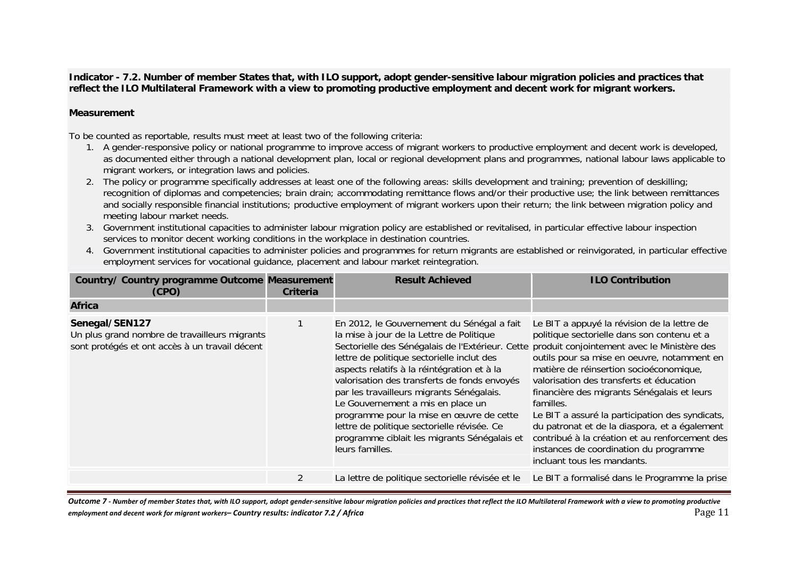**Indicator - 7.2. Number of member States that, with ILO support, adopt gender-sensitive labour migration policies and practices that reflect the ILO Multilateral Framework with a view to promoting productive employment and decent work for migrant workers.**

### **Measurement**

To be counted as reportable, results must meet at least two of the following criteria:

- 1. A gender-responsive policy or national programme to improve access of migrant workers to productive employment and decent work is developed, as documented either through a national development plan, local or regional development plans and programmes, national labour laws applicable to migrant workers, or integration laws and policies.
- 2. The policy or programme specifically addresses at least one of the following areas: skills development and training; prevention of deskilling; recognition of diplomas and competencies; brain drain; accommodating remittance flows and/or their productive use; the link between remittances and socially responsible financial institutions; productive employment of migrant workers upon their return; the link between migration policy and meeting labour market needs.
- 3. Government institutional capacities to administer labour migration policy are established or revitalised, in particular effective labour inspection services to monitor decent working conditions in the workplace in destination countries.
- 4. Government institutional capacities to administer policies and programmes for return migrants are established or reinvigorated, in particular effective employment services for vocational guidance, placement and labour market reintegration.

| <b>Country/ Country programme Outcome Measurement</b><br>(CPO)                                                    | <b>Criteria</b> | <b>Result Achieved</b>                                                                                                                                                                                                                                                                                                                                                                                                                                                                                                                  | <b>ILO Contribution</b>                                                                                                                                                                                                                                                                                                                                                                                                                                                                                                                                                    |
|-------------------------------------------------------------------------------------------------------------------|-----------------|-----------------------------------------------------------------------------------------------------------------------------------------------------------------------------------------------------------------------------------------------------------------------------------------------------------------------------------------------------------------------------------------------------------------------------------------------------------------------------------------------------------------------------------------|----------------------------------------------------------------------------------------------------------------------------------------------------------------------------------------------------------------------------------------------------------------------------------------------------------------------------------------------------------------------------------------------------------------------------------------------------------------------------------------------------------------------------------------------------------------------------|
| <b>Africa</b>                                                                                                     |                 |                                                                                                                                                                                                                                                                                                                                                                                                                                                                                                                                         |                                                                                                                                                                                                                                                                                                                                                                                                                                                                                                                                                                            |
| Senegal/SEN127<br>Un plus grand nombre de travailleurs migrants<br>sont protégés et ont accès à un travail décent |                 | En 2012, le Gouvernement du Sénégal a fait<br>la mise à jour de la Lettre de Politique<br>Sectorielle des Sénégalais de l'Extérieur. Cette<br>lettre de politique sectorielle inclut des<br>aspects relatifs à la réintégration et à la<br>valorisation des transferts de fonds envoyés<br>par les travailleurs migrants Sénégalais.<br>Le Gouvernement a mis en place un<br>programme pour la mise en œuvre de cette<br>lettre de politique sectorielle révisée. Ce<br>programme ciblait les migrants Sénégalais et<br>leurs familles. | Le BIT a appuyé la révision de la lettre de<br>politique sectorielle dans son contenu et a<br>produit conjointement avec le Ministère des<br>outils pour sa mise en oeuvre, notamment en<br>matière de réinsertion socioéconomique,<br>valorisation des transferts et éducation<br>financière des migrants Sénégalais et leurs<br>familles.<br>Le BIT a assuré la participation des syndicats,<br>du patronat et de la diaspora, et a également<br>contribué à la création et au renforcement des<br>instances de coordination du programme<br>incluant tous les mandants. |
|                                                                                                                   | $\overline{2}$  |                                                                                                                                                                                                                                                                                                                                                                                                                                                                                                                                         | La lettre de politique sectorielle révisée et le Le BIT a formalisé dans le Programme la prise                                                                                                                                                                                                                                                                                                                                                                                                                                                                             |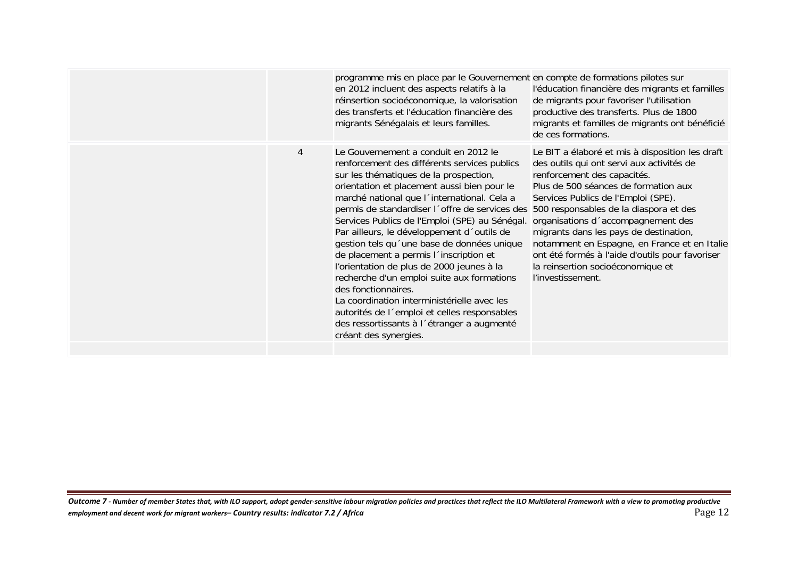|   | programme mis en place par le Gouvernement en compte de formations pilotes sur<br>en 2012 incluent des aspects relatifs à la<br>réinsertion socioéconomique, la valorisation<br>des transferts et l'éducation financière des<br>migrants Sénégalais et leurs familles.                                                                                                                                                                                                                                                                                                                                                                                                                                                                                                                                | l'éducation financière des migrants et familles<br>de migrants pour favoriser l'utilisation<br>productive des transferts. Plus de 1800<br>migrants et familles de migrants ont bénéficié<br>de ces formations.                                                                                                                                                                                                                                          |
|---|-------------------------------------------------------------------------------------------------------------------------------------------------------------------------------------------------------------------------------------------------------------------------------------------------------------------------------------------------------------------------------------------------------------------------------------------------------------------------------------------------------------------------------------------------------------------------------------------------------------------------------------------------------------------------------------------------------------------------------------------------------------------------------------------------------|---------------------------------------------------------------------------------------------------------------------------------------------------------------------------------------------------------------------------------------------------------------------------------------------------------------------------------------------------------------------------------------------------------------------------------------------------------|
| 4 | Le Gouvernement a conduit en 2012 le<br>renforcement des différents services publics<br>sur les thématiques de la prospection,<br>orientation et placement aussi bien pour le<br>marché national que l'international. Cela a<br>permis de standardiser l'offre de services des 500 responsables de la diaspora et des<br>Services Publics de l'Emploi (SPE) au Sénégal.<br>Par ailleurs, le développement d'outils de<br>gestion tels qu'une base de données unique<br>de placement a permis l'inscription et<br>l'orientation de plus de 2000 jeunes à la<br>recherche d'un emploi suite aux formations<br>des fonctionnaires.<br>La coordination interministérielle avec les<br>autorités de l'emploi et celles responsables<br>des ressortissants à l'étranger a augmenté<br>créant des synergies. | Le BIT a élaboré et mis à disposition les draft<br>des outils qui ont servi aux activités de<br>renforcement des capacités.<br>Plus de 500 séances de formation aux<br>Services Publics de l'Emploi (SPE).<br>organisations d'accompagnement des<br>migrants dans les pays de destination,<br>notamment en Espagne, en France et en Italie<br>ont été formés à l'aide d'outils pour favoriser<br>la reinsertion socioéconomique et<br>l'investissement. |
|   |                                                                                                                                                                                                                                                                                                                                                                                                                                                                                                                                                                                                                                                                                                                                                                                                       |                                                                                                                                                                                                                                                                                                                                                                                                                                                         |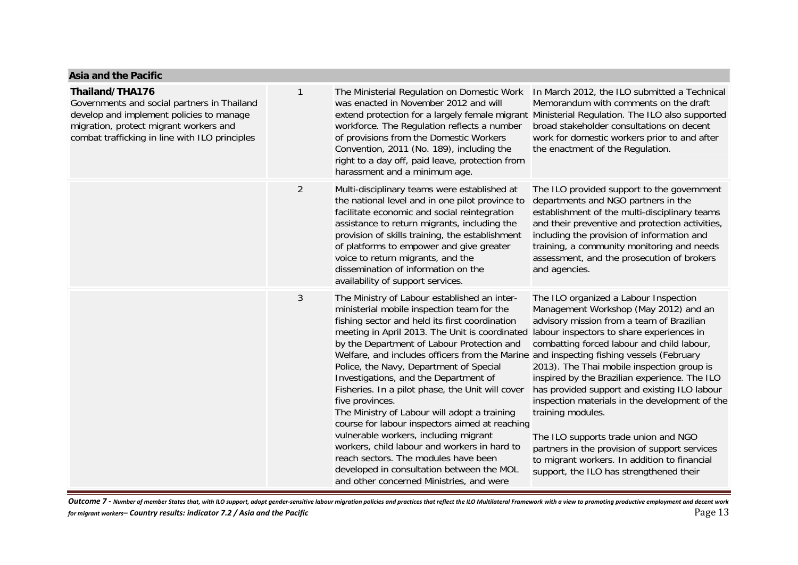| ASIA ANU UIC FACIN                                                                                                                                                                                     |                |                                                                                                                                                                                                                                                                                                                                                                                                                                                                                                                                                                                                                                                                                                                                                                                       |                                                                                                                                                                                                                                                                                                                                                                                                                                                                                                                                                                                                                                                                              |
|--------------------------------------------------------------------------------------------------------------------------------------------------------------------------------------------------------|----------------|---------------------------------------------------------------------------------------------------------------------------------------------------------------------------------------------------------------------------------------------------------------------------------------------------------------------------------------------------------------------------------------------------------------------------------------------------------------------------------------------------------------------------------------------------------------------------------------------------------------------------------------------------------------------------------------------------------------------------------------------------------------------------------------|------------------------------------------------------------------------------------------------------------------------------------------------------------------------------------------------------------------------------------------------------------------------------------------------------------------------------------------------------------------------------------------------------------------------------------------------------------------------------------------------------------------------------------------------------------------------------------------------------------------------------------------------------------------------------|
| Thailand/THA176<br>Governments and social partners in Thailand<br>develop and implement policies to manage<br>migration, protect migrant workers and<br>combat trafficking in line with ILO principles | 1              | The Ministerial Regulation on Domestic Work<br>was enacted in November 2012 and will<br>extend protection for a largely female migrant Ministerial Regulation. The ILO also supported<br>workforce. The Regulation reflects a number<br>of provisions from the Domestic Workers<br>Convention, 2011 (No. 189), including the<br>right to a day off, paid leave, protection from<br>harassment and a minimum age.                                                                                                                                                                                                                                                                                                                                                                      | In March 2012, the ILO submitted a Technical<br>Memorandum with comments on the draft<br>broad stakeholder consultations on decent<br>work for domestic workers prior to and after<br>the enactment of the Regulation.                                                                                                                                                                                                                                                                                                                                                                                                                                                       |
|                                                                                                                                                                                                        | $\overline{2}$ | Multi-disciplinary teams were established at<br>the national level and in one pilot province to<br>facilitate economic and social reintegration<br>assistance to return migrants, including the<br>provision of skills training, the establishment<br>of platforms to empower and give greater<br>voice to return migrants, and the<br>dissemination of information on the<br>availability of support services.                                                                                                                                                                                                                                                                                                                                                                       | The ILO provided support to the government<br>departments and NGO partners in the<br>establishment of the multi-disciplinary teams<br>and their preventive and protection activities,<br>including the provision of information and<br>training, a community monitoring and needs<br>assessment, and the prosecution of brokers<br>and agencies.                                                                                                                                                                                                                                                                                                                             |
|                                                                                                                                                                                                        | 3              | The Ministry of Labour established an inter-<br>ministerial mobile inspection team for the<br>fishing sector and held its first coordination<br>meeting in April 2013. The Unit is coordinated<br>by the Department of Labour Protection and<br>Welfare, and includes officers from the Marine<br>Police, the Navy, Department of Special<br>Investigations, and the Department of<br>Fisheries. In a pilot phase, the Unit will cover<br>five provinces.<br>The Ministry of Labour will adopt a training<br>course for labour inspectors aimed at reaching<br>vulnerable workers, including migrant<br>workers, child labour and workers in hard to<br>reach sectors. The modules have been<br>developed in consultation between the MOL<br>and other concerned Ministries, and were | The ILO organized a Labour Inspection<br>Management Workshop (May 2012) and an<br>advisory mission from a team of Brazilian<br>labour inspectors to share experiences in<br>combatting forced labour and child labour,<br>and inspecting fishing vessels (February<br>2013). The Thai mobile inspection group is<br>inspired by the Brazilian experience. The ILO<br>has provided support and existing ILO labour<br>inspection materials in the development of the<br>training modules.<br>The ILO supports trade union and NGO<br>partners in the provision of support services<br>to migrant workers. In addition to financial<br>support, the ILO has strengthened their |

Outcome 7 - Number of member States that, with ILO support, adopt gender-sensitive labour migration policies and practices that reflect the ILO Multilateral Framework with a view to promoting productive employment and dece

**Asia and the Pacific**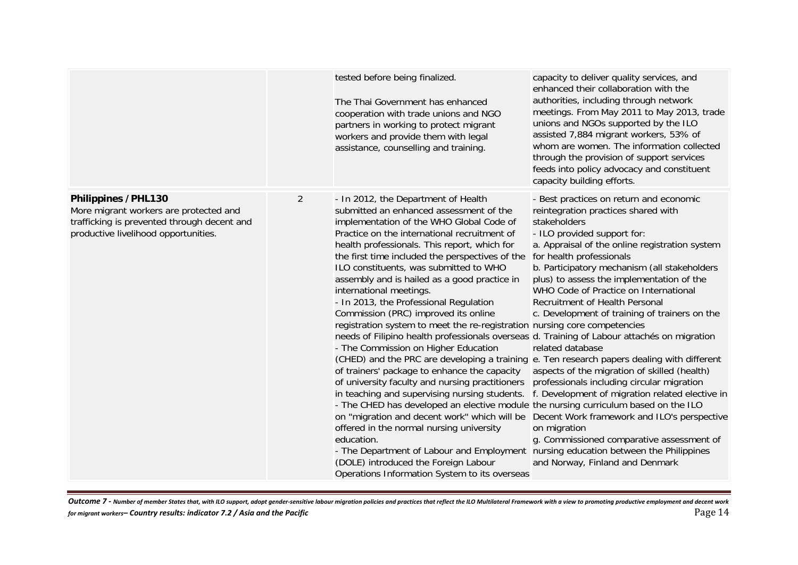|                                                                                                                                                      |                | tested before being finalized.<br>The Thai Government has enhanced<br>cooperation with trade unions and NGO<br>partners in working to protect migrant<br>workers and provide them with legal<br>assistance, counselling and training.                                                                                                                                                                                                                                                                                                                                                                                                                                                                                                                                                                                                                                                                                                                                                                                                                                                                                                                                                                                                                                                                                                       | capacity to deliver quality services, and<br>enhanced their collaboration with the<br>authorities, including through network<br>meetings. From May 2011 to May 2013, trade<br>unions and NGOs supported by the ILO<br>assisted 7,884 migrant workers, 53% of<br>whom are women. The information collected<br>through the provision of support services<br>feeds into policy advocacy and constituent<br>capacity building efforts.                                                                                                                                                                                                                                                                                                                       |
|------------------------------------------------------------------------------------------------------------------------------------------------------|----------------|---------------------------------------------------------------------------------------------------------------------------------------------------------------------------------------------------------------------------------------------------------------------------------------------------------------------------------------------------------------------------------------------------------------------------------------------------------------------------------------------------------------------------------------------------------------------------------------------------------------------------------------------------------------------------------------------------------------------------------------------------------------------------------------------------------------------------------------------------------------------------------------------------------------------------------------------------------------------------------------------------------------------------------------------------------------------------------------------------------------------------------------------------------------------------------------------------------------------------------------------------------------------------------------------------------------------------------------------|----------------------------------------------------------------------------------------------------------------------------------------------------------------------------------------------------------------------------------------------------------------------------------------------------------------------------------------------------------------------------------------------------------------------------------------------------------------------------------------------------------------------------------------------------------------------------------------------------------------------------------------------------------------------------------------------------------------------------------------------------------|
| Philippines /PHL130<br>More migrant workers are protected and<br>trafficking is prevented through decent and<br>productive livelihood opportunities. | $\overline{2}$ | - In 2012, the Department of Health<br>submitted an enhanced assessment of the<br>implementation of the WHO Global Code of<br>Practice on the international recruitment of<br>health professionals. This report, which for<br>the first time included the perspectives of the<br>ILO constituents, was submitted to WHO<br>assembly and is hailed as a good practice in<br>international meetings.<br>- In 2013, the Professional Regulation<br>Commission (PRC) improved its online<br>registration system to meet the re-registration nursing core competencies<br>needs of Filipino health professionals overseas d. Training of Labour attaches on migration<br>- The Commission on Higher Education<br>(CHED) and the PRC are developing a training e. Ten research papers dealing with different<br>of trainers' package to enhance the capacity<br>of university faculty and nursing practitioners<br>in teaching and supervising nursing students.<br>- The CHED has developed an elective module the nursing curriculum based on the ILO<br>on "migration and decent work" which will be<br>offered in the normal nursing university<br>education.<br>- The Department of Labour and Employment nursing education between the Philippines<br>(DOLE) introduced the Foreign Labour<br>Operations Information System to its overseas | - Best practices on return and economic<br>reintegration practices shared with<br>stakeholders<br>- ILO provided support for:<br>a. Appraisal of the online registration system<br>for health professionals<br>b. Participatory mechanism (all stakeholders<br>plus) to assess the implementation of the<br>WHO Code of Practice on International<br>Recruitment of Health Personal<br>c. Development of training of trainers on the<br>related database<br>aspects of the migration of skilled (health)<br>professionals including circular migration<br>f. Development of migration related elective in<br>Decent Work framework and ILO's perspective<br>on migration<br>g. Commissioned comparative assessment of<br>and Norway, Finland and Denmark |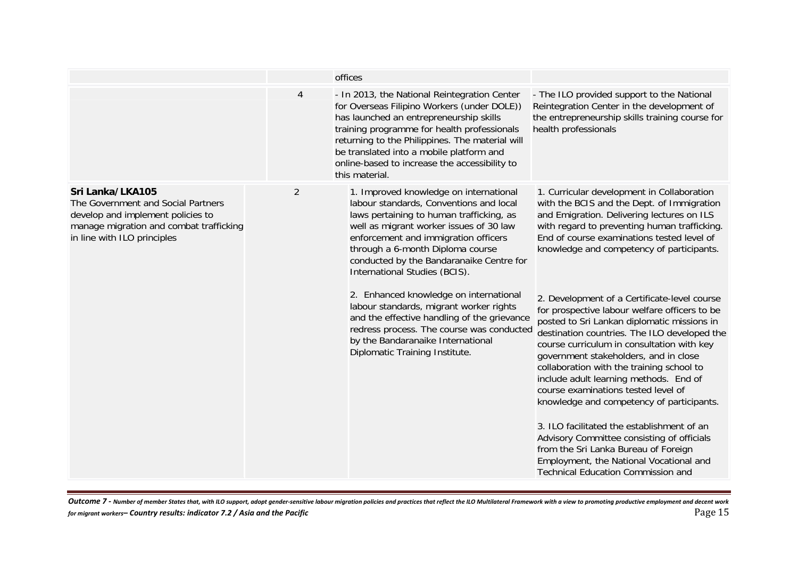|                                                                                                                                                                       |                | offices                                                                                                                                                                                                                                                                                                                                                 |                                                                                                                                                                                                                                                                                                                                                                                                                                                                                                                                                                                                                                                                                            |
|-----------------------------------------------------------------------------------------------------------------------------------------------------------------------|----------------|---------------------------------------------------------------------------------------------------------------------------------------------------------------------------------------------------------------------------------------------------------------------------------------------------------------------------------------------------------|--------------------------------------------------------------------------------------------------------------------------------------------------------------------------------------------------------------------------------------------------------------------------------------------------------------------------------------------------------------------------------------------------------------------------------------------------------------------------------------------------------------------------------------------------------------------------------------------------------------------------------------------------------------------------------------------|
|                                                                                                                                                                       | $\overline{4}$ | - In 2013, the National Reintegration Center<br>for Overseas Filipino Workers (under DOLE))<br>has launched an entrepreneurship skills<br>training programme for health professionals<br>returning to the Philippines. The material will<br>be translated into a mobile platform and<br>online-based to increase the accessibility to<br>this material. | - The ILO provided support to the National<br>Reintegration Center in the development of<br>the entrepreneurship skills training course for<br>health professionals                                                                                                                                                                                                                                                                                                                                                                                                                                                                                                                        |
| Sri Lanka/LKA105<br>The Government and Social Partners<br>develop and implement policies to<br>manage migration and combat trafficking<br>in line with ILO principles | $\overline{2}$ | 1. Improved knowledge on international<br>labour standards, Conventions and local<br>laws pertaining to human trafficking, as<br>well as migrant worker issues of 30 law<br>enforcement and immigration officers<br>through a 6-month Diploma course<br>conducted by the Bandaranaike Centre for<br>International Studies (BCIS).                       | 1. Curricular development in Collaboration<br>with the BCIS and the Dept. of Immigration<br>and Emigration. Delivering lectures on ILS<br>with regard to preventing human trafficking.<br>End of course examinations tested level of<br>knowledge and competency of participants.                                                                                                                                                                                                                                                                                                                                                                                                          |
|                                                                                                                                                                       |                | 2. Enhanced knowledge on international<br>labour standards, migrant worker rights<br>and the effective handling of the grievance<br>redress process. The course was conducted<br>by the Bandaranaike International<br>Diplomatic Training Institute.                                                                                                    | 2. Development of a Certificate-level course<br>for prospective labour welfare officers to be<br>posted to Sri Lankan diplomatic missions in<br>destination countries. The ILO developed the<br>course curriculum in consultation with key<br>government stakeholders, and in close<br>collaboration with the training school to<br>include adult learning methods. End of<br>course examinations tested level of<br>knowledge and competency of participants.<br>3. ILO facilitated the establishment of an<br>Advisory Committee consisting of officials<br>from the Sri Lanka Bureau of Foreign<br>Employment, the National Vocational and<br><b>Technical Education Commission and</b> |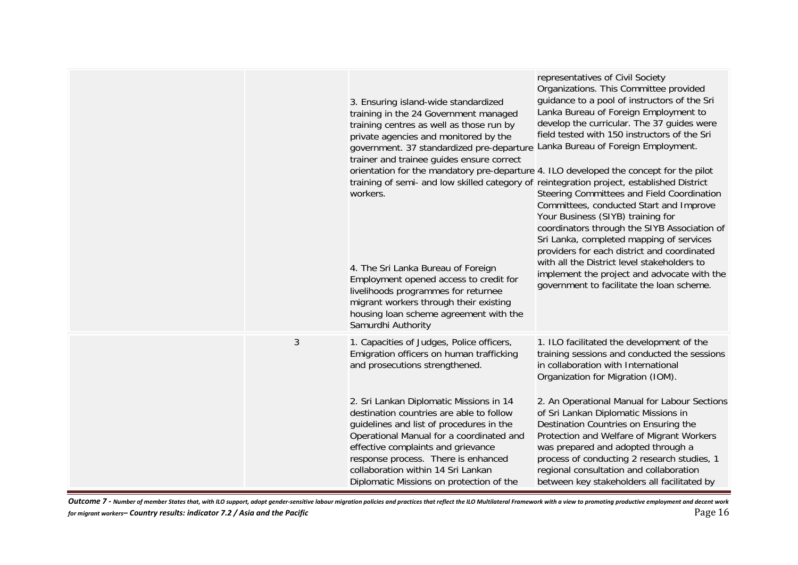|                | 3. Ensuring island-wide standardized<br>training in the 24 Government managed<br>training centres as well as those run by<br>private agencies and monitored by the<br>government. 37 standardized pre-departure Lanka Bureau of Foreign Employment.<br>trainer and trainee guides ensure correct<br>orientation for the mandatory pre-departure 4. ILO developed the concept for the pilot<br>training of semi- and low skilled category of reintegration project, established District<br>workers.<br>4. The Sri Lanka Bureau of Foreign<br>Employment opened access to credit for<br>livelihoods programmes for returnee<br>migrant workers through their existing<br>housing loan scheme agreement with the<br>Samurdhi Authority | representatives of Civil Society<br>Organizations. This Committee provided<br>guidance to a pool of instructors of the Sri<br>Lanka Bureau of Foreign Employment to<br>develop the curricular. The 37 guides were<br>field tested with 150 instructors of the Sri<br>Steering Committees and Field Coordination<br>Committees, conducted Start and Improve<br>Your Business (SIYB) training for<br>coordinators through the SIYB Association of<br>Sri Lanka, completed mapping of services<br>providers for each district and coordinated<br>with all the District level stakeholders to<br>implement the project and advocate with the<br>government to facilitate the loan scheme. |
|----------------|--------------------------------------------------------------------------------------------------------------------------------------------------------------------------------------------------------------------------------------------------------------------------------------------------------------------------------------------------------------------------------------------------------------------------------------------------------------------------------------------------------------------------------------------------------------------------------------------------------------------------------------------------------------------------------------------------------------------------------------|---------------------------------------------------------------------------------------------------------------------------------------------------------------------------------------------------------------------------------------------------------------------------------------------------------------------------------------------------------------------------------------------------------------------------------------------------------------------------------------------------------------------------------------------------------------------------------------------------------------------------------------------------------------------------------------|
| $\mathfrak{Z}$ | 1. Capacities of Judges, Police officers,<br>Emigration officers on human trafficking<br>and prosecutions strengthened.<br>2. Sri Lankan Diplomatic Missions in 14<br>destination countries are able to follow<br>guidelines and list of procedures in the<br>Operational Manual for a coordinated and<br>effective complaints and grievance<br>response process. There is enhanced<br>collaboration within 14 Sri Lankan                                                                                                                                                                                                                                                                                                            | 1. ILO facilitated the development of the<br>training sessions and conducted the sessions<br>in collaboration with International<br>Organization for Migration (IOM).<br>2. An Operational Manual for Labour Sections<br>of Sri Lankan Diplomatic Missions in<br>Destination Countries on Ensuring the<br>Protection and Welfare of Migrant Workers<br>was prepared and adopted through a<br>process of conducting 2 research studies, 1<br>regional consultation and collaboration                                                                                                                                                                                                   |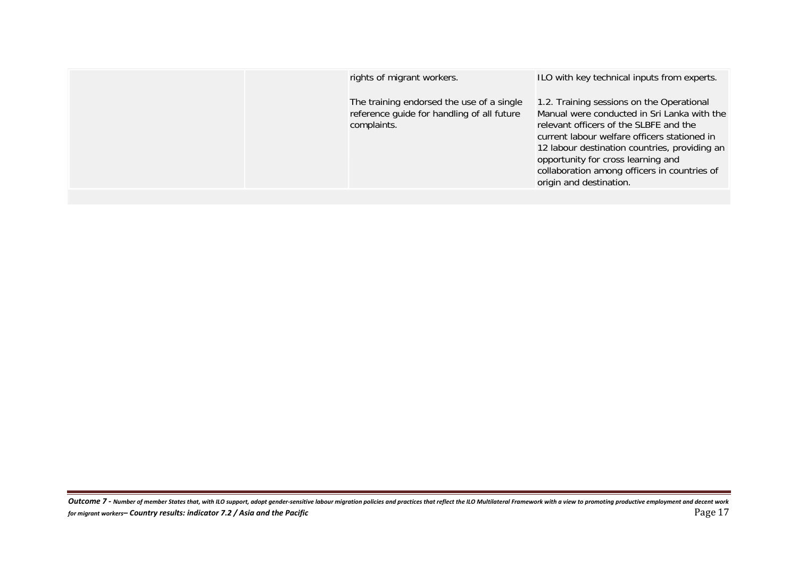| rights of migrant workers.                                                                             | ILO with key technical inputs from experts.                                                                                                                                                                                                                                                                                                          |
|--------------------------------------------------------------------------------------------------------|------------------------------------------------------------------------------------------------------------------------------------------------------------------------------------------------------------------------------------------------------------------------------------------------------------------------------------------------------|
| The training endorsed the use of a single<br>reference guide for handling of all future<br>complaints. | 1.2. Training sessions on the Operational<br>Manual were conducted in Sri Lanka with the<br>relevant officers of the SLBFE and the<br>current labour welfare officers stationed in<br>12 labour destination countries, providing an<br>opportunity for cross learning and<br>collaboration among officers in countries of<br>origin and destination. |
|                                                                                                        |                                                                                                                                                                                                                                                                                                                                                      |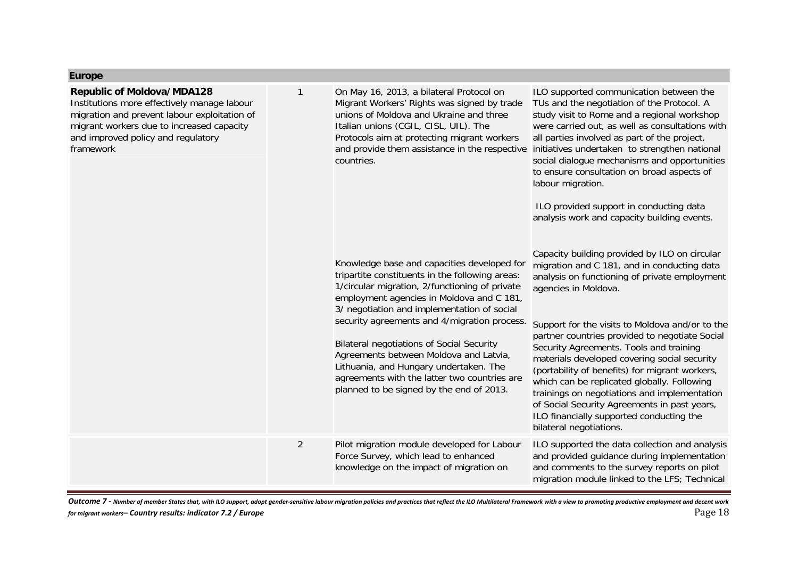## **Europe**

| <b>Republic of Moldova/MDA128</b><br>Institutions more effectively manage labour<br>migration and prevent labour exploitation of<br>migrant workers due to increased capacity<br>and improved policy and regulatory<br>framework | 1              | On May 16, 2013, a bilateral Protocol on<br>Migrant Workers' Rights was signed by trade<br>unions of Moldova and Ukraine and three<br>Italian unions (CGIL, CISL, UIL). The<br>Protocols aim at protecting migrant workers<br>and provide them assistance in the respective<br>countries.<br>Knowledge base and capacities developed for<br>tripartite constituents in the following areas:<br>1/circular migration, 2/functioning of private<br>employment agencies in Moldova and C 181,<br>3/ negotiation and implementation of social<br>security agreements and 4/migration process.<br><b>Bilateral negotiations of Social Security</b><br>Agreements between Moldova and Latvia,<br>Lithuania, and Hungary undertaken. The<br>agreements with the latter two countries are<br>planned to be signed by the end of 2013. | ILO supported communication between the<br>TUs and the negotiation of the Protocol. A<br>study visit to Rome and a regional workshop<br>were carried out, as well as consultations with<br>all parties involved as part of the project,<br>initiatives undertaken to strengthen national<br>social dialogue mechanisms and opportunities<br>to ensure consultation on broad aspects of<br>labour migration.<br>ILO provided support in conducting data<br>analysis work and capacity building events.<br>Capacity building provided by ILO on circular<br>migration and C 181, and in conducting data<br>analysis on functioning of private employment<br>agencies in Moldova.<br>Support for the visits to Moldova and/or to the<br>partner countries provided to negotiate Social<br>Security Agreements. Tools and training<br>materials developed covering social security<br>(portability of benefits) for migrant workers,<br>which can be replicated globally. Following<br>trainings on negotiations and implementation<br>of Social Security Agreements in past years,<br>ILO financially supported conducting the |
|----------------------------------------------------------------------------------------------------------------------------------------------------------------------------------------------------------------------------------|----------------|-------------------------------------------------------------------------------------------------------------------------------------------------------------------------------------------------------------------------------------------------------------------------------------------------------------------------------------------------------------------------------------------------------------------------------------------------------------------------------------------------------------------------------------------------------------------------------------------------------------------------------------------------------------------------------------------------------------------------------------------------------------------------------------------------------------------------------|-----------------------------------------------------------------------------------------------------------------------------------------------------------------------------------------------------------------------------------------------------------------------------------------------------------------------------------------------------------------------------------------------------------------------------------------------------------------------------------------------------------------------------------------------------------------------------------------------------------------------------------------------------------------------------------------------------------------------------------------------------------------------------------------------------------------------------------------------------------------------------------------------------------------------------------------------------------------------------------------------------------------------------------------------------------------------------------------------------------------------------|
|                                                                                                                                                                                                                                  |                |                                                                                                                                                                                                                                                                                                                                                                                                                                                                                                                                                                                                                                                                                                                                                                                                                               | bilateral negotiations.                                                                                                                                                                                                                                                                                                                                                                                                                                                                                                                                                                                                                                                                                                                                                                                                                                                                                                                                                                                                                                                                                                     |
|                                                                                                                                                                                                                                  | $\overline{2}$ | Pilot migration module developed for Labour<br>Force Survey, which lead to enhanced<br>knowledge on the impact of migration on                                                                                                                                                                                                                                                                                                                                                                                                                                                                                                                                                                                                                                                                                                | ILO supported the data collection and analysis<br>and provided guidance during implementation<br>and comments to the survey reports on pilot<br>migration module linked to the LFS; Technical                                                                                                                                                                                                                                                                                                                                                                                                                                                                                                                                                                                                                                                                                                                                                                                                                                                                                                                               |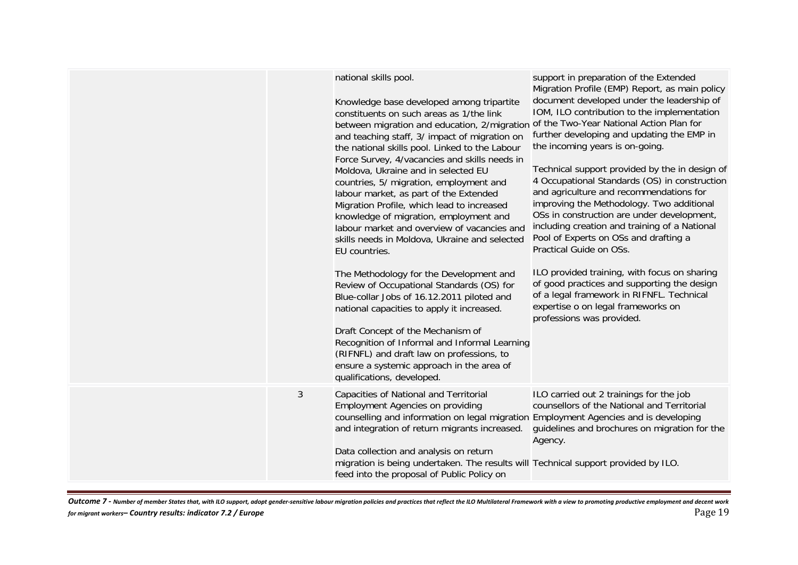|   | national skills pool.<br>Knowledge base developed among tripartite<br>constituents on such areas as 1/the link<br>between migration and education, 2/migration<br>and teaching staff, 3/ impact of migration on<br>the national skills pool. Linked to the Labour<br>Force Survey, 4/vacancies and skills needs in<br>Moldova, Ukraine and in selected EU<br>countries, 5/ migration, employment and<br>labour market, as part of the Extended<br>Migration Profile, which lead to increased<br>knowledge of migration, employment and<br>labour market and overview of vacancies and<br>skills needs in Moldova, Ukraine and selected<br>EU countries.<br>The Methodology for the Development and<br>Review of Occupational Standards (OS) for<br>Blue-collar Jobs of 16.12.2011 piloted and<br>national capacities to apply it increased.<br>Draft Concept of the Mechanism of<br>Recognition of Informal and Informal Learning<br>(RIFNFL) and draft law on professions, to<br>ensure a systemic approach in the area of<br>qualifications, developed. | support in preparation of the Extended<br>Migration Profile (EMP) Report, as main policy<br>document developed under the leadership of<br>IOM, ILO contribution to the implementation<br>of the Two-Year National Action Plan for<br>further developing and updating the EMP in<br>the incoming years is on-going.<br>Technical support provided by the in design of<br>4 Occupational Standards (OS) in construction<br>and agriculture and recommendations for<br>improving the Methodology. Two additional<br>OSs in construction are under development,<br>including creation and training of a National<br>Pool of Experts on OSs and drafting a<br>Practical Guide on OSs.<br>ILO provided training, with focus on sharing<br>of good practices and supporting the design<br>of a legal framework in RIFNFL. Technical<br>expertise o on legal frameworks on<br>professions was provided. |
|---|-----------------------------------------------------------------------------------------------------------------------------------------------------------------------------------------------------------------------------------------------------------------------------------------------------------------------------------------------------------------------------------------------------------------------------------------------------------------------------------------------------------------------------------------------------------------------------------------------------------------------------------------------------------------------------------------------------------------------------------------------------------------------------------------------------------------------------------------------------------------------------------------------------------------------------------------------------------------------------------------------------------------------------------------------------------|-------------------------------------------------------------------------------------------------------------------------------------------------------------------------------------------------------------------------------------------------------------------------------------------------------------------------------------------------------------------------------------------------------------------------------------------------------------------------------------------------------------------------------------------------------------------------------------------------------------------------------------------------------------------------------------------------------------------------------------------------------------------------------------------------------------------------------------------------------------------------------------------------|
| 3 | Capacities of National and Territorial<br><b>Employment Agencies on providing</b><br>counselling and information on legal migration Employment Agencies and is developing<br>and integration of return migrants increased.<br>Data collection and analysis on return<br>migration is being undertaken. The results will Technical support provided by ILO.<br>feed into the proposal of Public Policy on                                                                                                                                                                                                                                                                                                                                                                                                                                                                                                                                                                                                                                                  | ILO carried out 2 trainings for the job<br>counsellors of the National and Territorial<br>guidelines and brochures on migration for the<br>Agency.                                                                                                                                                                                                                                                                                                                                                                                                                                                                                                                                                                                                                                                                                                                                              |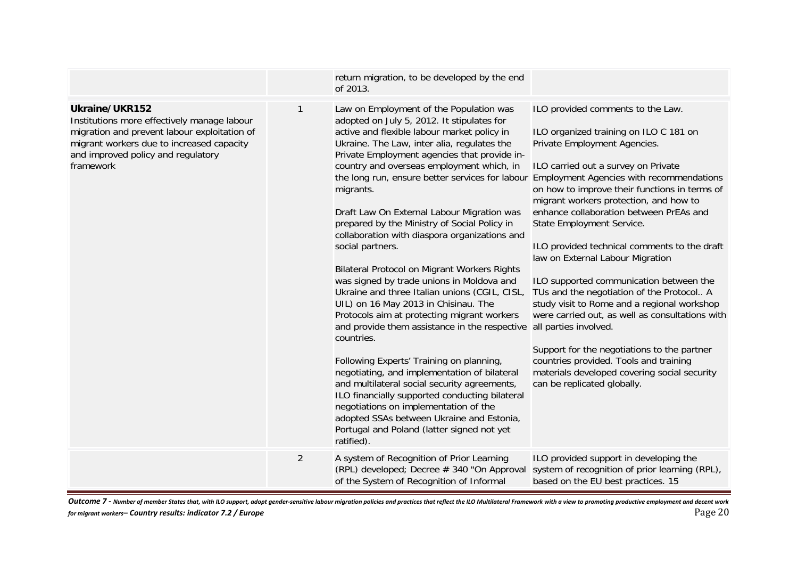|                                                                                                                                                                                                               |              | return migration, to be developed by the end<br>of 2013.                                                                                                                                                                                                                                                                                                                                                                                                                                                                                                                                                                                                                                                                                                                                                                                                                                                                                                                                                                                                                                                                                                                |                                                                                                                                                                                                                                                                                                                                                                                                                                                                                                                                                                                                                                                                                                                                                                                                                                                         |
|---------------------------------------------------------------------------------------------------------------------------------------------------------------------------------------------------------------|--------------|-------------------------------------------------------------------------------------------------------------------------------------------------------------------------------------------------------------------------------------------------------------------------------------------------------------------------------------------------------------------------------------------------------------------------------------------------------------------------------------------------------------------------------------------------------------------------------------------------------------------------------------------------------------------------------------------------------------------------------------------------------------------------------------------------------------------------------------------------------------------------------------------------------------------------------------------------------------------------------------------------------------------------------------------------------------------------------------------------------------------------------------------------------------------------|---------------------------------------------------------------------------------------------------------------------------------------------------------------------------------------------------------------------------------------------------------------------------------------------------------------------------------------------------------------------------------------------------------------------------------------------------------------------------------------------------------------------------------------------------------------------------------------------------------------------------------------------------------------------------------------------------------------------------------------------------------------------------------------------------------------------------------------------------------|
| Ukraine/UKR152<br>Institutions more effectively manage labour<br>migration and prevent labour exploitation of<br>migrant workers due to increased capacity<br>and improved policy and regulatory<br>framework | $\mathbf{1}$ | Law on Employment of the Population was<br>adopted on July 5, 2012. It stipulates for<br>active and flexible labour market policy in<br>Ukraine. The Law, inter alia, regulates the<br>Private Employment agencies that provide in-<br>country and overseas employment which, in<br>the long run, ensure better services for labour<br>migrants.<br>Draft Law On External Labour Migration was<br>prepared by the Ministry of Social Policy in<br>collaboration with diaspora organizations and<br>social partners.<br>Bilateral Protocol on Migrant Workers Rights<br>was signed by trade unions in Moldova and<br>Ukraine and three Italian unions (CGIL, CISL,<br>UIL) on 16 May 2013 in Chisinau. The<br>Protocols aim at protecting migrant workers<br>and provide them assistance in the respective<br>countries.<br>Following Experts' Training on planning,<br>negotiating, and implementation of bilateral<br>and multilateral social security agreements,<br>ILO financially supported conducting bilateral<br>negotiations on implementation of the<br>adopted SSAs between Ukraine and Estonia,<br>Portugal and Poland (latter signed not yet<br>ratified). | ILO provided comments to the Law.<br>ILO organized training on ILO C 181 on<br>Private Employment Agencies.<br>ILO carried out a survey on Private<br><b>Employment Agencies with recommendations</b><br>on how to improve their functions in terms of<br>migrant workers protection, and how to<br>enhance collaboration between PrEAs and<br>State Employment Service.<br>ILO provided technical comments to the draft<br>law on External Labour Migration<br>ILO supported communication between the<br>TUs and the negotiation of the Protocol A<br>study visit to Rome and a regional workshop<br>were carried out, as well as consultations with<br>all parties involved.<br>Support for the negotiations to the partner<br>countries provided. Tools and training<br>materials developed covering social security<br>can be replicated globally. |
|                                                                                                                                                                                                               | 2            | A system of Recognition of Prior Learning<br>(RPL) developed; Decree # 340 "On Approval<br>of the System of Recognition of Informal                                                                                                                                                                                                                                                                                                                                                                                                                                                                                                                                                                                                                                                                                                                                                                                                                                                                                                                                                                                                                                     | ILO provided support in developing the<br>system of recognition of prior learning (RPL),<br>based on the EU best practices. 15                                                                                                                                                                                                                                                                                                                                                                                                                                                                                                                                                                                                                                                                                                                          |

Outcome 7 - Number of member States that, with ILO support, adopt gender-sensitive labour migration policies and practices that reflect the ILO Multilateral Framework with a view to promoting productive employment and dece *for migrant workers– Country results: indicator 7.2 / Europe* Page 20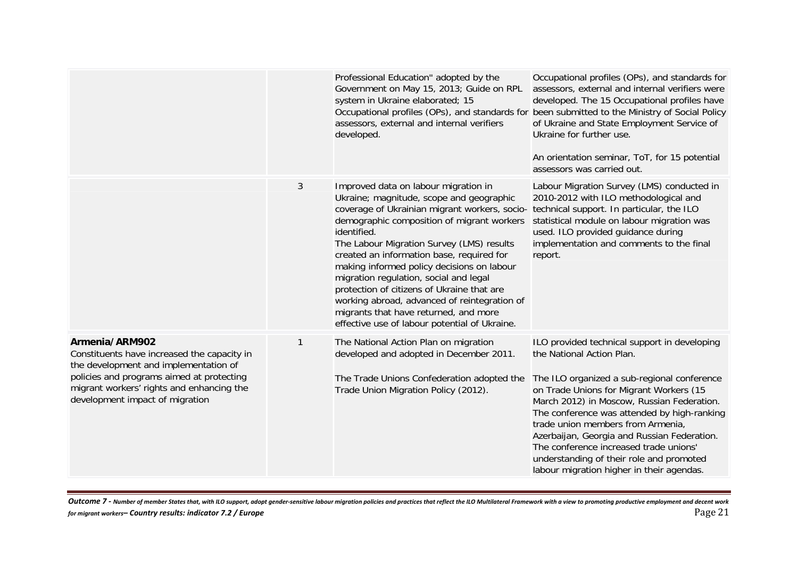|                                                                                                                                                                                                                                     |              | Professional Education" adopted by the<br>Government on May 15, 2013; Guide on RPL<br>system in Ukraine elaborated; 15<br>assessors, external and internal verifiers<br>developed.                                                                                                                                                                                                                                                                                                                                                                                       | Occupational profiles (OPs), and standards for<br>assessors, external and internal verifiers were<br>developed. The 15 Occupational profiles have<br>Occupational profiles (OPs), and standards for been submitted to the Ministry of Social Policy<br>of Ukraine and State Employment Service of<br>Ukraine for further use.<br>An orientation seminar, ToT, for 15 potential<br>assessors was carried out.                                                                            |
|-------------------------------------------------------------------------------------------------------------------------------------------------------------------------------------------------------------------------------------|--------------|--------------------------------------------------------------------------------------------------------------------------------------------------------------------------------------------------------------------------------------------------------------------------------------------------------------------------------------------------------------------------------------------------------------------------------------------------------------------------------------------------------------------------------------------------------------------------|-----------------------------------------------------------------------------------------------------------------------------------------------------------------------------------------------------------------------------------------------------------------------------------------------------------------------------------------------------------------------------------------------------------------------------------------------------------------------------------------|
|                                                                                                                                                                                                                                     | 3            | Improved data on labour migration in<br>Ukraine; magnitude, scope and geographic<br>coverage of Ukrainian migrant workers, socio-<br>demographic composition of migrant workers<br>identified.<br>The Labour Migration Survey (LMS) results<br>created an information base, required for<br>making informed policy decisions on labour<br>migration regulation, social and legal<br>protection of citizens of Ukraine that are<br>working abroad, advanced of reintegration of<br>migrants that have returned, and more<br>effective use of labour potential of Ukraine. | Labour Migration Survey (LMS) conducted in<br>2010-2012 with ILO methodological and<br>technical support. In particular, the ILO<br>statistical module on labour migration was<br>used. ILO provided guidance during<br>implementation and comments to the final<br>report.                                                                                                                                                                                                             |
| Armenia/ARM902<br>Constituents have increased the capacity in<br>the development and implementation of<br>policies and programs aimed at protecting<br>migrant workers' rights and enhancing the<br>development impact of migration | $\mathbf{1}$ | The National Action Plan on migration<br>developed and adopted in December 2011.<br>The Trade Unions Confederation adopted the<br>Trade Union Migration Policy (2012).                                                                                                                                                                                                                                                                                                                                                                                                   | ILO provided technical support in developing<br>the National Action Plan.<br>The ILO organized a sub-regional conference<br>on Trade Unions for Migrant Workers (15<br>March 2012) in Moscow, Russian Federation.<br>The conference was attended by high-ranking<br>trade union members from Armenia,<br>Azerbaijan, Georgia and Russian Federation.<br>The conference increased trade unions'<br>understanding of their role and promoted<br>labour migration higher in their agendas. |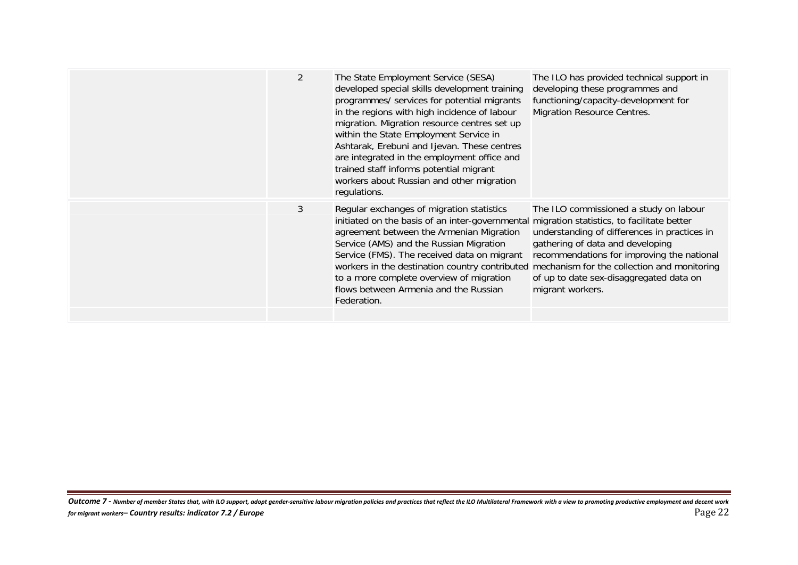| $\overline{2}$ | The State Employment Service (SESA)<br>developed special skills development training<br>programmes/ services for potential migrants<br>in the regions with high incidence of labour<br>migration. Migration resource centres set up<br>within the State Employment Service in<br>Ashtarak, Erebuni and Ijevan. These centres<br>are integrated in the employment office and<br>trained staff informs potential migrant<br>workers about Russian and other migration<br>regulations. | The ILO has provided technical support in<br>developing these programmes and<br>functioning/capacity-development for<br><b>Migration Resource Centres.</b>                                                                              |
|----------------|-------------------------------------------------------------------------------------------------------------------------------------------------------------------------------------------------------------------------------------------------------------------------------------------------------------------------------------------------------------------------------------------------------------------------------------------------------------------------------------|-----------------------------------------------------------------------------------------------------------------------------------------------------------------------------------------------------------------------------------------|
| 3              | Regular exchanges of migration statistics<br>initiated on the basis of an inter-governmental migration statistics, to facilitate better<br>agreement between the Armenian Migration<br>Service (AMS) and the Russian Migration<br>Service (FMS). The received data on migrant<br>workers in the destination country contributed mechanism for the collection and monitoring<br>to a more complete overview of migration<br>flows between Armenia and the Russian<br>Federation.     | The ILO commissioned a study on labour<br>understanding of differences in practices in<br>gathering of data and developing<br>recommendations for improving the national<br>of up to date sex-disaggregated data on<br>migrant workers. |
|                |                                                                                                                                                                                                                                                                                                                                                                                                                                                                                     |                                                                                                                                                                                                                                         |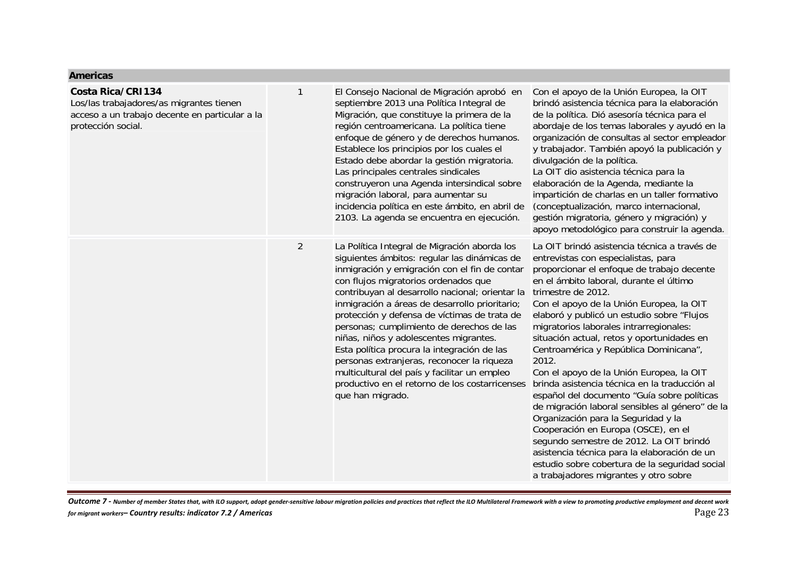#### **Americas**

#### **Costa Rica/CRI134**

Los/las trabajadores/as migrantes tienen acceso a un trabajo decente en particular a la protección social.

| El Consejo Nacional de Migración aprobó en      | Cor  |
|-------------------------------------------------|------|
| septiembre 2013 una Política Integral de        | brir |
| Migración, que constituye la primera de la      | de l |
| región centroamericana. La política tiene       | abo  |
| enfoque de género y de derechos humanos.        | org  |
| Establece los principios por los cuales el      | y tr |
| Estado debe abordar la gestión migratoria.      | divu |
| Las principales centrales sindicales            | La ( |
| construyeron una Agenda intersindical sobre     | elat |
| migración laboral, para aumentar su             | imp  |
| incidencia política en este ámbito, en abril de | (col |
| 2103. La agenda se encuentra en ejecución.      | ges  |

2 La Política Integral de Migración aborda los siguientes ámbitos: regular las dinámicas de inmigración y emigración con el fin de contar con flujos migratorios ordenados que contribuyan al desarrollo nacional; orientar la trimestre de 2012. inmigración a áreas de desarrollo prioritario; protección y defensa de víctimas de trata de personas; cumplimiento de derechos de las niñas, niños y adolescentes migrantes. Esta política procura la integración de las personas extranjeras, reconocer la riqueza multicultural del país y facilitar un empleo productivo en el retorno de los costarricenses que han migrado.

idó asistencia técnica para la elaboración la política. Dió asesoría técnica para el ordaje de los temas laborales y ayudó en la anización de consultas al sector empleador abajador. También apoyó la publicación y divulgación de la política. OIT dio asistencia técnica para la boración de la Agenda, mediante la artición de charlas en un taller formativo nceptualización, marco internacional, tión migratoria, género y migración) y apoyo metodológico para construir la agenda. La OIT brindó asistencia técnica a través de

el apoyo de la Unión Europea, la OIT

entrevistas con especialistas, para proporcionar el enfoque de trabajo decente en el ámbito laboral, durante el último

Con el apoyo de la Unión Europea, la OIT elaboró y publicó un estudio sobre "Flujos migratorios laborales intrarregionales: situación actual, retos y oportunidades en Centroamérica y República Dominicana", 2012.

Con el apoyo de la Unión Europea, la OIT brinda asistencia técnica en la traducción al español del documento "Guía sobre políticas de migración laboral sensibles al género" de la Organización para la Seguridad y la Cooperación en Europa (OSCE), en el segundo semestre de 2012. La OIT brindó asistencia técnica para la elaboración de un estudio sobre cobertura de la seguridad social a trabajadores migrantes y otro sobre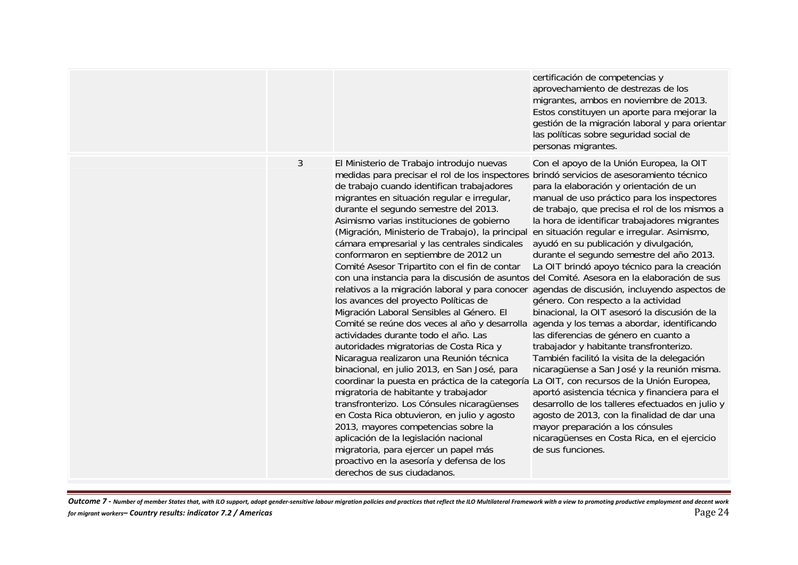|                |                                                                                                                                                                                                                                                                                                                                                                                                                                                                                                                                                                                                                                                                                                                                                                                                                                                                                                                                                                                                                                                                                                                                                                                                                                                                                                                                                                                               | certificación de competencias y<br>aprovechamiento de destrezas de los<br>migrantes, ambos en noviembre de 2013.<br>Estos constituyen un aporte para mejorar la<br>gestión de la migración laboral y para orientar<br>las políticas sobre seguridad social de<br>personas migrantes.                                                                                                                                                                                                                                                                                                                                                                                                                                                                                                                                                                                                                                                                                                                                                                                                                            |
|----------------|-----------------------------------------------------------------------------------------------------------------------------------------------------------------------------------------------------------------------------------------------------------------------------------------------------------------------------------------------------------------------------------------------------------------------------------------------------------------------------------------------------------------------------------------------------------------------------------------------------------------------------------------------------------------------------------------------------------------------------------------------------------------------------------------------------------------------------------------------------------------------------------------------------------------------------------------------------------------------------------------------------------------------------------------------------------------------------------------------------------------------------------------------------------------------------------------------------------------------------------------------------------------------------------------------------------------------------------------------------------------------------------------------|-----------------------------------------------------------------------------------------------------------------------------------------------------------------------------------------------------------------------------------------------------------------------------------------------------------------------------------------------------------------------------------------------------------------------------------------------------------------------------------------------------------------------------------------------------------------------------------------------------------------------------------------------------------------------------------------------------------------------------------------------------------------------------------------------------------------------------------------------------------------------------------------------------------------------------------------------------------------------------------------------------------------------------------------------------------------------------------------------------------------|
| $\mathfrak{Z}$ | El Ministerio de Trabajo introdujo nuevas<br>medidas para precisar el rol de los inspectores<br>de trabajo cuando identifican trabajadores<br>migrantes en situación regular e irregular,<br>durante el segundo semestre del 2013.<br>Asimismo varias instituciones de gobierno<br>(Migración, Ministerio de Trabajo), la principal<br>cámara empresarial y las centrales sindicales<br>conformaron en septiembre de 2012 un<br>Comité Asesor Tripartito con el fin de contar<br>con una instancia para la discusión de asuntos del Comité. Asesora en la elaboración de sus<br>relativos a la migración laboral y para conocer<br>los avances del proyecto Políticas de<br>Migración Laboral Sensibles al Género. El<br>Comité se reúne dos veces al año y desarrolla<br>actividades durante todo el año. Las<br>autoridades migratorias de Costa Rica y<br>Nicaragua realizaron una Reunión técnica<br>binacional, en julio 2013, en San José, para<br>coordinar la puesta en práctica de la categoría La OIT, con recursos de la Unión Europea,<br>migratoria de habitante y trabajador<br>transfronterizo. Los Cónsules nicaragüenses<br>en Costa Rica obtuvieron, en julio y agosto<br>2013, mayores competencias sobre la<br>aplicación de la legislación nacional<br>migratoria, para ejercer un papel más<br>proactivo en la asesoría y defensa de los<br>derechos de sus ciudadanos. | Con el apoyo de la Unión Europea, la OIT<br>brindó servicios de asesoramiento técnico<br>para la elaboración y orientación de un<br>manual de uso práctico para los inspectores<br>de trabajo, que precisa el rol de los mismos a<br>la hora de identificar trabajadores migrantes<br>en situación regular e irregular. Asimismo,<br>ayudó en su publicación y divulgación,<br>durante el segundo semestre del año 2013.<br>La OIT brindó apoyo técnico para la creación<br>agendas de discusión, incluyendo aspectos de<br>género. Con respecto a la actividad<br>binacional, la OIT asesoró la discusión de la<br>agenda y los temas a abordar, identificando<br>las diferencias de género en cuanto a<br>trabajador y habitante transfronterizo.<br>También facilitó la visita de la delegación<br>nicaragüense a San José y la reunión misma.<br>aportó asistencia técnica y financiera para el<br>desarrollo de los talleres efectuados en julio y<br>agosto de 2013, con la finalidad de dar una<br>mayor preparación a los cónsules<br>nicaragüenses en Costa Rica, en el ejercicio<br>de sus funciones. |

Outcome 7 - Number of member States that, with ILO support, adopt gender-sensitive labour migration policies and practices that reflect the ILO Multilateral Framework with a view to promoting productive employment and dece *for migrant workers– Country results: indicator 7.2 / Americas* Page 24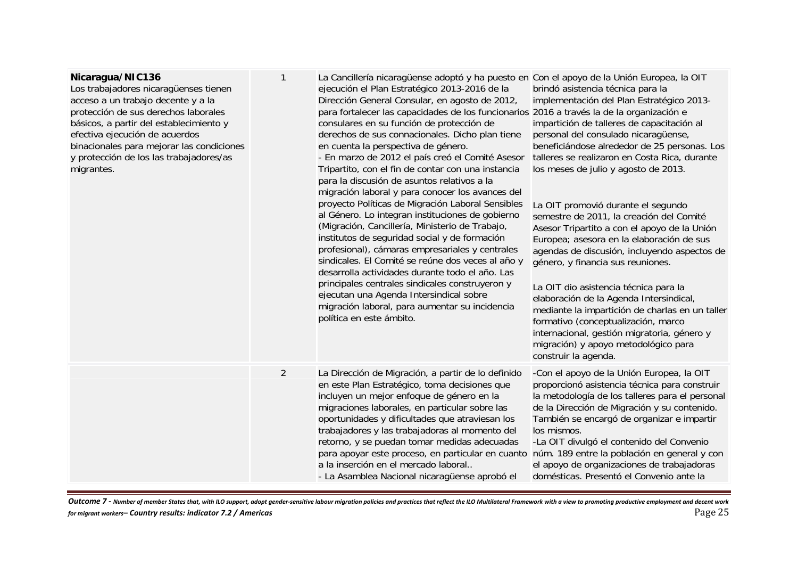# **Nicaragua/NIC136**

Los trabajadores nicaragüenses tienen acceso a un trabajo decente y a la protección de sus derechos laborales básicos, a partir del establecimiento y efectiva ejecución de acuerdos binacionales para mejorar las condicione y protección de los las trabajadores/as migrantes.

| эS | $\mathbf{1}$   | La Cancillería nicaragüense adoptó y ha puesto en Con el apoyo de la Unión Europea, la OIT<br>ejecución el Plan Estratégico 2013-2016 de la<br>Dirección General Consular, en agosto de 2012,<br>para fortalecer las capacidades de los funcionarios 2016 a través la de la organización e<br>consulares en su función de protección de<br>derechos de sus connacionales. Dicho plan tiene<br>en cuenta la perspectiva de género.<br>- En marzo de 2012 el país creó el Comité Asesor<br>Tripartito, con el fin de contar con una instancia<br>para la discusión de asuntos relativos a la<br>migración laboral y para conocer los avances del<br>proyecto Políticas de Migración Laboral Sensibles<br>al Género. Lo integran instituciones de gobierno<br>(Migración, Cancillería, Ministerio de Trabajo,<br>institutos de seguridad social y de formación<br>profesional), cámaras empresariales y centrales<br>sindicales. El Comité se reúne dos veces al año y<br>desarrolla actividades durante todo el año. Las<br>principales centrales sindicales construyeron y<br>ejecutan una Agenda Intersindical sobre<br>migración laboral, para aumentar su incidencia<br>política en este ámbito. | brindó asistencia técnica para la<br>implementación del Plan Estratégico 2013-<br>impartición de talleres de capacitación al<br>personal del consulado nicaragüense,<br>beneficiándose alrededor de 25 personas. Los<br>talleres se realizaron en Costa Rica, durante<br>los meses de julio y agosto de 2013.<br>La OIT promovió durante el segundo<br>semestre de 2011, la creación del Comité<br>Asesor Tripartito a con el apoyo de la Unión<br>Europea; asesora en la elaboración de sus<br>agendas de discusión, incluyendo aspectos de<br>género, y financia sus reuniones.<br>La OIT dio asistencia técnica para la<br>elaboración de la Agenda Intersindical,<br>mediante la impartición de charlas en un taller<br>formativo (conceptualización, marco<br>internacional, gestión migratoria, género y<br>migración) y apoyo metodológico para<br>construir la agenda. |
|----|----------------|----------------------------------------------------------------------------------------------------------------------------------------------------------------------------------------------------------------------------------------------------------------------------------------------------------------------------------------------------------------------------------------------------------------------------------------------------------------------------------------------------------------------------------------------------------------------------------------------------------------------------------------------------------------------------------------------------------------------------------------------------------------------------------------------------------------------------------------------------------------------------------------------------------------------------------------------------------------------------------------------------------------------------------------------------------------------------------------------------------------------------------------------------------------------------------------------------|--------------------------------------------------------------------------------------------------------------------------------------------------------------------------------------------------------------------------------------------------------------------------------------------------------------------------------------------------------------------------------------------------------------------------------------------------------------------------------------------------------------------------------------------------------------------------------------------------------------------------------------------------------------------------------------------------------------------------------------------------------------------------------------------------------------------------------------------------------------------------------|
|    | $\overline{2}$ | La Dirección de Migración, a partir de lo definido<br>en este Plan Estratégico, toma decisiones que<br>incluyen un mejor enfoque de género en la<br>migraciones laborales, en particular sobre las<br>oportunidades y dificultades que atraviesan los<br>trabajadores y las trabajadoras al momento del<br>retorno, y se puedan tomar medidas adecuadas<br>para apoyar este proceso, en particular en cuanto<br>a la inserción en el mercado laboral<br>- La Asamblea Nacional nicaragüense aprobó el                                                                                                                                                                                                                                                                                                                                                                                                                                                                                                                                                                                                                                                                                              | -Con el apoyo de la Unión Europea, la OIT<br>proporcionó asistencia técnica para construir<br>la metodología de los talleres para el personal<br>de la Dirección de Migración y su contenido.<br>También se encargó de organizar e impartir<br>los mismos.<br>-La OIT divulgó el contenido del Convenio<br>núm. 189 entre la población en general y con<br>el apoyo de organizaciones de trabajadoras<br>domésticas. Presentó el Convenio ante la                                                                                                                                                                                                                                                                                                                                                                                                                              |

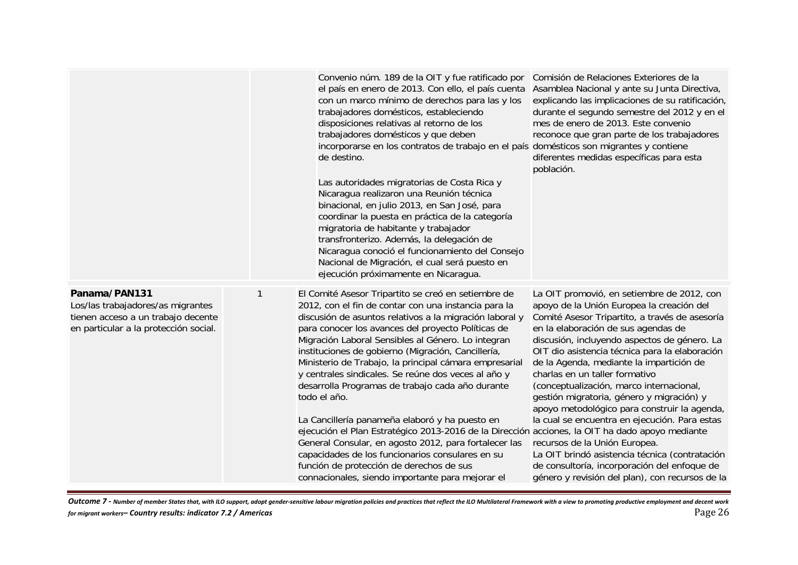|                                                                                                                                   |   | Convenio núm. 189 de la OIT y fue ratificado por<br>el país en enero de 2013. Con ello, el país cuenta<br>con un marco mínimo de derechos para las y los<br>trabajadores domésticos, estableciendo<br>disposiciones relativas al retorno de los<br>trabajadores domésticos y que deben<br>incorporarse en los contratos de trabajo en el país domésticos son migrantes y contiene<br>de destino.<br>Las autoridades migratorias de Costa Rica y<br>Nicaragua realizaron una Reunión técnica<br>binacional, en julio 2013, en San José, para<br>coordinar la puesta en práctica de la categoría<br>migratoria de habitante y trabajador<br>transfronterizo. Además, la delegación de<br>Nicaragua conoció el funcionamiento del Consejo<br>Nacional de Migración, el cual será puesto en<br>ejecución próximamente en Nicaragua.                                                                 | Comisión de Relaciones Exteriores de la<br>Asamblea Nacional y ante su Junta Directiva,<br>explicando las implicaciones de su ratificación,<br>durante el segundo semestre del 2012 y en el<br>mes de enero de 2013. Este convenio<br>reconoce que gran parte de los trabajadores<br>diferentes medidas específicas para esta<br>población.                                                                                                                                                                                                                                                                                                                                                                                                      |
|-----------------------------------------------------------------------------------------------------------------------------------|---|-------------------------------------------------------------------------------------------------------------------------------------------------------------------------------------------------------------------------------------------------------------------------------------------------------------------------------------------------------------------------------------------------------------------------------------------------------------------------------------------------------------------------------------------------------------------------------------------------------------------------------------------------------------------------------------------------------------------------------------------------------------------------------------------------------------------------------------------------------------------------------------------------|--------------------------------------------------------------------------------------------------------------------------------------------------------------------------------------------------------------------------------------------------------------------------------------------------------------------------------------------------------------------------------------------------------------------------------------------------------------------------------------------------------------------------------------------------------------------------------------------------------------------------------------------------------------------------------------------------------------------------------------------------|
| Panama/PAN131<br>Los/las trabajadores/as migrantes<br>tienen acceso a un trabajo decente<br>en particular a la protección social. | 1 | El Comité Asesor Tripartito se creó en setiembre de<br>2012, con el fin de contar con una instancia para la<br>discusión de asuntos relativos a la migración laboral y<br>para conocer los avances del proyecto Políticas de<br>Migración Laboral Sensibles al Género. Lo integran<br>instituciones de gobierno (Migración, Cancillería,<br>Ministerio de Trabajo, la principal cámara empresarial<br>y centrales sindicales. Se reúne dos veces al año y<br>desarrolla Programas de trabajo cada año durante<br>todo el año.<br>La Cancillería panameña elaboró y ha puesto en<br>ejecución el Plan Estratégico 2013-2016 de la Dirección acciones, la OIT ha dado apoyo mediante<br>General Consular, en agosto 2012, para fortalecer las<br>capacidades de los funcionarios consulares en su<br>función de protección de derechos de sus<br>connacionales, siendo importante para mejorar el | La OIT promovió, en setiembre de 2012, con<br>apoyo de la Unión Europea la creación del<br>Comité Asesor Tripartito, a través de asesoría<br>en la elaboración de sus agendas de<br>discusión, incluyendo aspectos de género. La<br>OIT dio asistencia técnica para la elaboración<br>de la Agenda, mediante la impartición de<br>charlas en un taller formativo<br>(conceptualización, marco internacional,<br>gestión migratoria, género y migración) y<br>apoyo metodológico para construir la agenda,<br>la cual se encuentra en ejecución. Para estas<br>recursos de la Unión Europea.<br>La OIT brindó asistencia técnica (contratación<br>de consultoría, incorporación del enfoque de<br>género y revisión del plan), con recursos de la |

Outcome 7 - Number of member States that, with ILO support, adopt gender-sensitive labour migration policies and practices that reflect the ILO Multilateral Framework with a view to promoting productive employment and dece *for* migrant workers– **Country results: indicator 7.2 / Americas** Page 26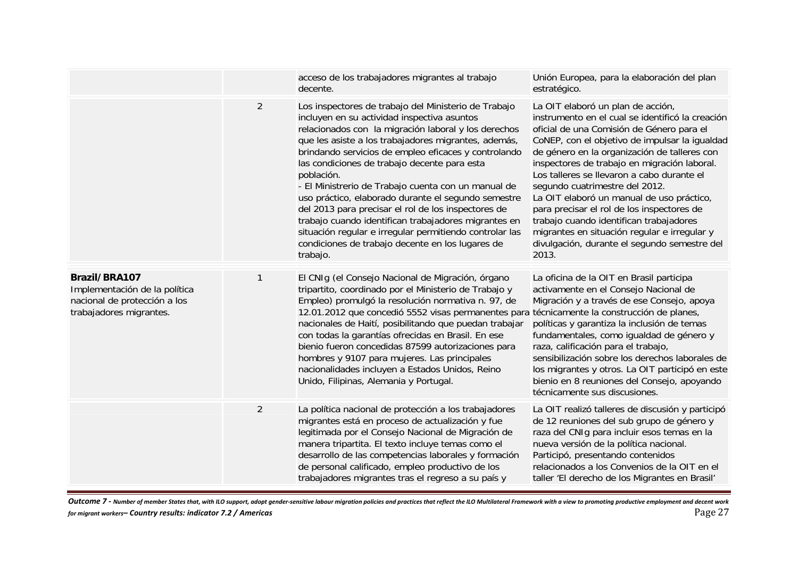|                                                                                                           |                | acceso de los trabajadores migrantes al trabajo<br>decente.                                                                                                                                                                                                                                                                                                                                                                                                                                                                                                                                                                                                                                       | Unión Europea, para la elaboración del plan<br>estratégico.                                                                                                                                                                                                                                                                                                                                                                                                                                                                                                                                                         |
|-----------------------------------------------------------------------------------------------------------|----------------|---------------------------------------------------------------------------------------------------------------------------------------------------------------------------------------------------------------------------------------------------------------------------------------------------------------------------------------------------------------------------------------------------------------------------------------------------------------------------------------------------------------------------------------------------------------------------------------------------------------------------------------------------------------------------------------------------|---------------------------------------------------------------------------------------------------------------------------------------------------------------------------------------------------------------------------------------------------------------------------------------------------------------------------------------------------------------------------------------------------------------------------------------------------------------------------------------------------------------------------------------------------------------------------------------------------------------------|
|                                                                                                           | $\overline{2}$ | Los inspectores de trabajo del Ministerio de Trabajo<br>incluyen en su actividad inspectiva asuntos<br>relacionados con la migración laboral y los derechos<br>que les asiste a los trabajadores migrantes, además,<br>brindando servicios de empleo eficaces y controlando<br>las condiciones de trabajo decente para esta<br>población.<br>- El Ministrerio de Trabajo cuenta con un manual de<br>uso práctico, elaborado durante el segundo semestre<br>del 2013 para precisar el rol de los inspectores de<br>trabajo cuando identifican trabajadores migrantes en<br>situación regular e irregular permitiendo controlar las<br>condiciones de trabajo decente en los lugares de<br>trabajo. | La OIT elaboró un plan de acción,<br>instrumento en el cual se identificó la creación<br>oficial de una Comisión de Género para el<br>CoNEP, con el objetivo de impulsar la igualdad<br>de género en la organización de talleres con<br>inspectores de trabajo en migración laboral.<br>Los talleres se llevaron a cabo durante el<br>segundo cuatrimestre del 2012.<br>La OIT elaboró un manual de uso práctico,<br>para precisar el rol de los inspectores de<br>trabajo cuando identifican trabajadores<br>migrantes en situación regular e irregular y<br>divulgación, durante el segundo semestre del<br>2013. |
| Brazil/BRA107<br>Implementación de la política<br>nacional de protección a los<br>trabajadores migrantes. | 1              | El CNIg (el Consejo Nacional de Migración, órgano<br>tripartito, coordinado por el Ministerio de Trabajo y<br>Empleo) promulgó la resolución normativa n. 97, de<br>12.01.2012 que concedió 5552 visas permanentes para técnicamente la construcción de planes,<br>nacionales de Haití, posibilitando que puedan trabajar<br>con todas la garantías ofrecidas en Brasil. En ese<br>bienio fueron concedidas 87599 autorizaciones para<br>hombres y 9107 para mujeres. Las principales<br>nacionalidades incluyen a Estados Unidos, Reino<br>Unido, Filipinas, Alemania y Portugal.                                                                                                                | La oficina de la OIT en Brasil participa<br>activamente en el Consejo Nacional de<br>Migración y a través de ese Consejo, apoya<br>políticas y garantiza la inclusión de temas<br>fundamentales, como igualdad de género y<br>raza, calificación para el trabajo,<br>sensibilización sobre los derechos laborales de<br>los migrantes y otros. La OIT participó en este<br>bienio en 8 reuniones del Consejo, apoyando<br>técnicamente sus discusiones.                                                                                                                                                             |
|                                                                                                           | $\overline{2}$ | La política nacional de protección a los trabajadores<br>migrantes está en proceso de actualización y fue<br>legitimada por el Consejo Nacional de Migración de<br>manera tripartita. El texto incluye temas como el<br>desarrollo de las competencias laborales y formación<br>de personal calificado, empleo productivo de los<br>trabajadores migrantes tras el regreso a su país y                                                                                                                                                                                                                                                                                                            | La OIT realizó talleres de discusión y participó<br>de 12 reuniones del sub grupo de género y<br>raza del CNIg para incluir esos temas en la<br>nueva versión de la política nacional.<br>Participó, presentando contenidos<br>relacionados a los Convenios de la OIT en el<br>taller 'El derecho de los Migrantes en Brasil'                                                                                                                                                                                                                                                                                       |